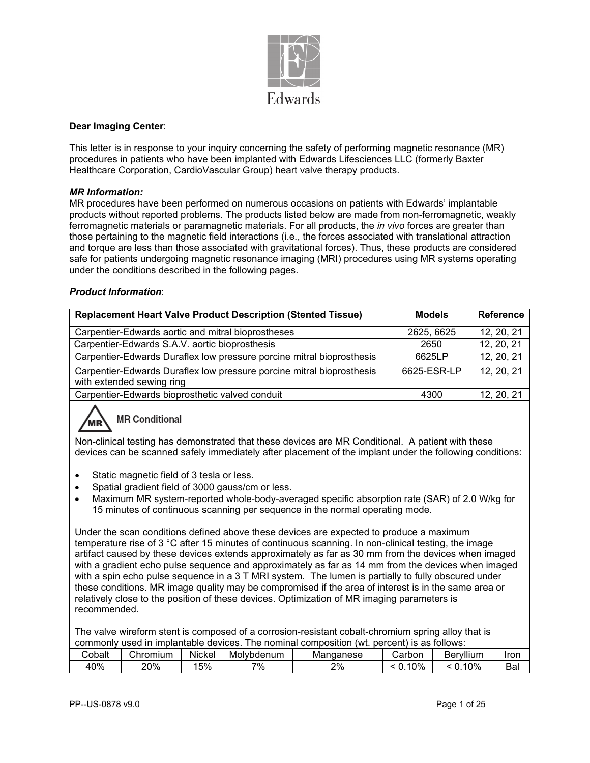

#### **Dear Imaging Center**:

This letter is in response to your inquiry concerning the safety of performing magnetic resonance (MR) procedures in patients who have been implanted with Edwards Lifesciences LLC (formerly Baxter Healthcare Corporation, CardioVascular Group) heart valve therapy products.

#### *MR Information:*

MR procedures have been performed on numerous occasions on patients with Edwards' implantable products without reported problems. The products listed below are made from non-ferromagnetic, weakly ferromagnetic materials or paramagnetic materials. For all products, the *in vivo* forces are greater than those pertaining to the magnetic field interactions (i.e., the forces associated with translational attraction and torque are less than those associated with gravitational forces). Thus, these products are considered safe for patients undergoing magnetic resonance imaging (MRI) procedures using MR systems operating under the conditions described in the following pages.

#### *Product Information*:

| <b>Replacement Heart Valve Product Description (Stented Tissue)</b>                                | <b>Models</b> | <b>Reference</b> |
|----------------------------------------------------------------------------------------------------|---------------|------------------|
| Carpentier-Edwards aortic and mitral bioprostheses                                                 | 2625, 6625    | 12, 20, 21       |
| Carpentier-Edwards S.A.V. aortic bioprosthesis                                                     | 2650          | 12, 20, 21       |
| Carpentier-Edwards Duraflex low pressure porcine mitral bioprosthesis                              | 6625LP        | 12, 20, 21       |
| Carpentier-Edwards Duraflex low pressure porcine mitral bioprosthesis<br>with extended sewing ring | 6625-ESR-LP   | 12, 20, 21       |
| Carpentier-Edwards bioprosthetic valved conduit                                                    | 4300          | 12, 20, 21       |

# **MR Conditional**

Non-clinical testing has demonstrated that these devices are MR Conditional. A patient with these devices can be scanned safely immediately after placement of the implant under the following conditions:

- Static magnetic field of 3 tesla or less.
- Spatial gradient field of 3000 gauss/cm or less.
- Maximum MR system-reported whole-body-averaged specific absorption rate (SAR) of 2.0 W/kg for 15 minutes of continuous scanning per sequence in the normal operating mode.

Under the scan conditions defined above these devices are expected to produce a maximum temperature rise of 3 °C after 15 minutes of continuous scanning. In non-clinical testing, the image artifact caused by these devices extends approximately as far as 30 mm from the devices when imaged with a gradient echo pulse sequence and approximately as far as 14 mm from the devices when imaged with a spin echo pulse sequence in a 3 T MRI system. The lumen is partially to fully obscured under these conditions. MR image quality may be compromised if the area of interest is in the same area or relatively close to the position of these devices. Optimization of MR imaging parameters is recommended.

The valve wireform stent is composed of a corrosion-resistant cobalt-chromium spring alloy that is commonly used in implantable devices. The nominal composition (wt. percent) is as follows:

| $\sim$<br>obaltٽ | Chromium | .<br>Nickel | Molvbdenum | Mandanese | ∟arbor | <br>- Ber<br>vllium | Iror                            |
|------------------|----------|-------------|------------|-----------|--------|---------------------|---------------------------------|
| 40%              | 20%      | 5%          | 7%         | 2%        | 0%     | 0%<br>$\cdot$       | $\overline{\phantom{a}}$<br>Bai |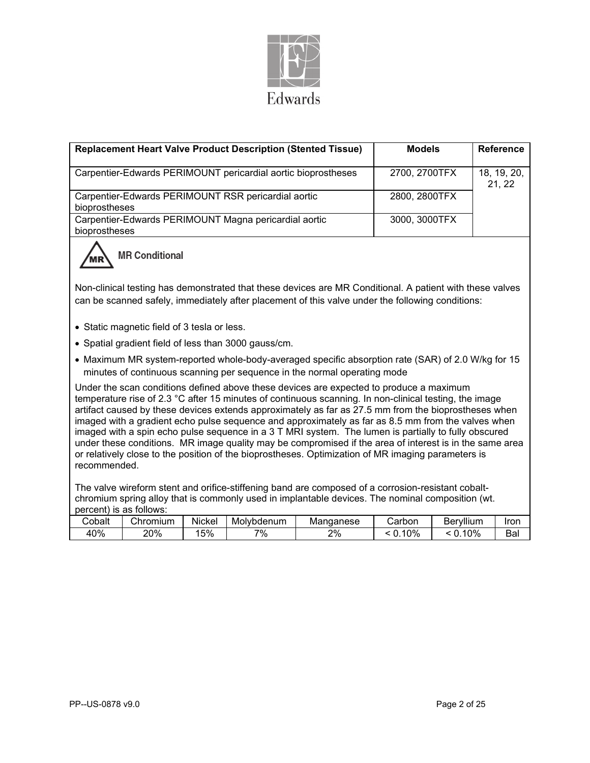

| <b>Replacement Heart Valve Product Description (Stented Tissue)</b>                                                                                                                                                                                                                                                                                                                                                                                                                                                                                                                                                                                                                                                                                      | <b>Models</b> | <b>Reference</b>      |  |  |  |  |  |
|----------------------------------------------------------------------------------------------------------------------------------------------------------------------------------------------------------------------------------------------------------------------------------------------------------------------------------------------------------------------------------------------------------------------------------------------------------------------------------------------------------------------------------------------------------------------------------------------------------------------------------------------------------------------------------------------------------------------------------------------------------|---------------|-----------------------|--|--|--|--|--|
| Carpentier-Edwards PERIMOUNT pericardial aortic bioprostheses                                                                                                                                                                                                                                                                                                                                                                                                                                                                                                                                                                                                                                                                                            | 2700, 2700TFX | 18, 19, 20,<br>21, 22 |  |  |  |  |  |
| Carpentier-Edwards PERIMOUNT RSR pericardial aortic<br>bioprostheses                                                                                                                                                                                                                                                                                                                                                                                                                                                                                                                                                                                                                                                                                     | 2800, 2800TFX |                       |  |  |  |  |  |
| Carpentier-Edwards PERIMOUNT Magna pericardial aortic<br>bioprostheses                                                                                                                                                                                                                                                                                                                                                                                                                                                                                                                                                                                                                                                                                   | 3000, 3000TFX |                       |  |  |  |  |  |
| <b>MR Conditional</b>                                                                                                                                                                                                                                                                                                                                                                                                                                                                                                                                                                                                                                                                                                                                    |               |                       |  |  |  |  |  |
| Non-clinical testing has demonstrated that these devices are MR Conditional. A patient with these valves<br>can be scanned safely, immediately after placement of this valve under the following conditions:                                                                                                                                                                                                                                                                                                                                                                                                                                                                                                                                             |               |                       |  |  |  |  |  |
| • Static magnetic field of 3 tesla or less.                                                                                                                                                                                                                                                                                                                                                                                                                                                                                                                                                                                                                                                                                                              |               |                       |  |  |  |  |  |
| • Spatial gradient field of less than 3000 gauss/cm.                                                                                                                                                                                                                                                                                                                                                                                                                                                                                                                                                                                                                                                                                                     |               |                       |  |  |  |  |  |
| • Maximum MR system-reported whole-body-averaged specific absorption rate (SAR) of 2.0 W/kg for 15<br>minutes of continuous scanning per sequence in the normal operating mode                                                                                                                                                                                                                                                                                                                                                                                                                                                                                                                                                                           |               |                       |  |  |  |  |  |
| Under the scan conditions defined above these devices are expected to produce a maximum<br>temperature rise of 2.3 °C after 15 minutes of continuous scanning. In non-clinical testing, the image<br>artifact caused by these devices extends approximately as far as 27.5 mm from the bioprostheses when<br>imaged with a gradient echo pulse sequence and approximately as far as 8.5 mm from the valves when<br>imaged with a spin echo pulse sequence in a 3 T MRI system. The lumen is partially to fully obscured<br>under these conditions. MR image quality may be compromised if the area of interest is in the same area<br>or relatively close to the position of the bioprostheses. Optimization of MR imaging parameters is<br>recommended. |               |                       |  |  |  |  |  |
| The valve wireform stent and orifice-stiffening band are composed of a corrosion-resistant cobalt-<br>chromium spring alloy that is commonly used in implantable devices. The nominal composition (wt.<br>nercent) is as follows:                                                                                                                                                                                                                                                                                                                                                                                                                                                                                                                        |               |                       |  |  |  |  |  |

| <b>DUITELITS AS IUIIUWS.</b> |          |        |            |           |        |           |      |
|------------------------------|----------|--------|------------|-----------|--------|-----------|------|
| Cobalt                       | Chromium | Nickel | Molvbdenum | Mandanese | Carbon | Beryllium | Iror |
| 40%                          | 20%      | 5%     | 7%         | 2%        | 10%    | 10%       | Ba   |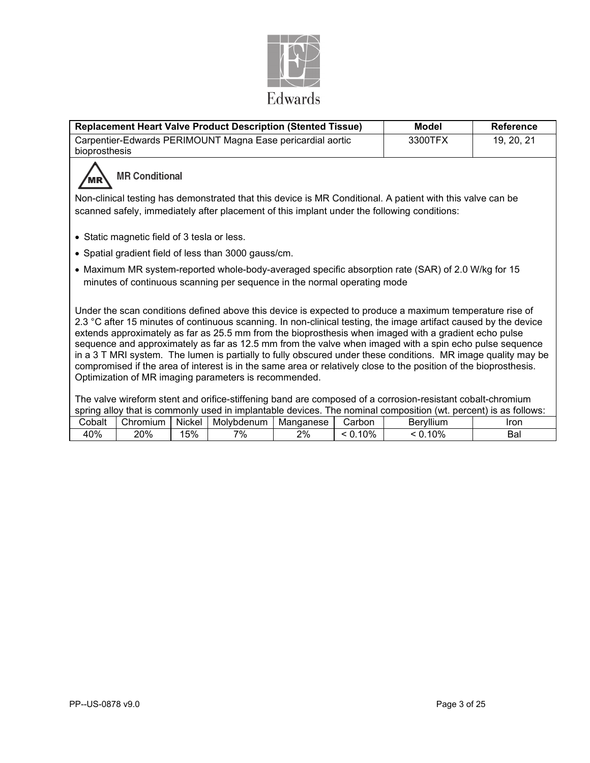

| <b>Replacement Heart Valve Product Description (Stented Tissue)</b>                                                                                                                                                                                                                                                                                                                                                                                                                                                                                                                                                                                                                                                                             | <b>Model</b> | <b>Reference</b> |
|-------------------------------------------------------------------------------------------------------------------------------------------------------------------------------------------------------------------------------------------------------------------------------------------------------------------------------------------------------------------------------------------------------------------------------------------------------------------------------------------------------------------------------------------------------------------------------------------------------------------------------------------------------------------------------------------------------------------------------------------------|--------------|------------------|
| Carpentier-Edwards PERIMOUNT Magna Ease pericardial aortic                                                                                                                                                                                                                                                                                                                                                                                                                                                                                                                                                                                                                                                                                      | 3300TFX      | 19, 20, 21       |
| bioprosthesis                                                                                                                                                                                                                                                                                                                                                                                                                                                                                                                                                                                                                                                                                                                                   |              |                  |
| <b>MR Conditional</b>                                                                                                                                                                                                                                                                                                                                                                                                                                                                                                                                                                                                                                                                                                                           |              |                  |
| Non-clinical testing has demonstrated that this device is MR Conditional. A patient with this valve can be<br>scanned safely, immediately after placement of this implant under the following conditions:                                                                                                                                                                                                                                                                                                                                                                                                                                                                                                                                       |              |                  |
| • Static magnetic field of 3 tesla or less.                                                                                                                                                                                                                                                                                                                                                                                                                                                                                                                                                                                                                                                                                                     |              |                  |
| • Spatial gradient field of less than 3000 gauss/cm.                                                                                                                                                                                                                                                                                                                                                                                                                                                                                                                                                                                                                                                                                            |              |                  |
| • Maximum MR system-reported whole-body-averaged specific absorption rate (SAR) of 2.0 W/kg for 15<br>minutes of continuous scanning per sequence in the normal operating mode                                                                                                                                                                                                                                                                                                                                                                                                                                                                                                                                                                  |              |                  |
| Under the scan conditions defined above this device is expected to produce a maximum temperature rise of<br>2.3 °C after 15 minutes of continuous scanning. In non-clinical testing, the image artifact caused by the device<br>extends approximately as far as 25.5 mm from the bioprosthesis when imaged with a gradient echo pulse<br>sequence and approximately as far as 12.5 mm from the valve when imaged with a spin echo pulse sequence<br>in a 3 T MRI system. The lumen is partially to fully obscured under these conditions. MR image quality may be<br>compromised if the area of interest is in the same area or relatively close to the position of the bioprosthesis.<br>Optimization of MR imaging parameters is recommended. |              |                  |
| The valve wireform stent and orifice-stiffening band are composed of a corrosion-resistant cobalt-chromium<br>spring alloy that is commonly used in implantable devices. The nominal composition (wt. percent) is as follows:<br>Cobelt Chromium Nickel Mohrhdonum Managnese Carbon Republium                                                                                                                                                                                                                                                                                                                                                                                                                                                   |              | Iron.            |

| balt⊳     | $\sim$<br>;hromium | .<br>Nickel | Molvbdenum | Mandanese | 'arbon<br>∠aı | <br>Berv⊞um<br>De' | Iron |
|-----------|--------------------|-------------|------------|-----------|---------------|--------------------|------|
| 40%<br>4L | 20%                | 5%          | 7%         | 2%        | 0%            | 0%<br>-            | Bal  |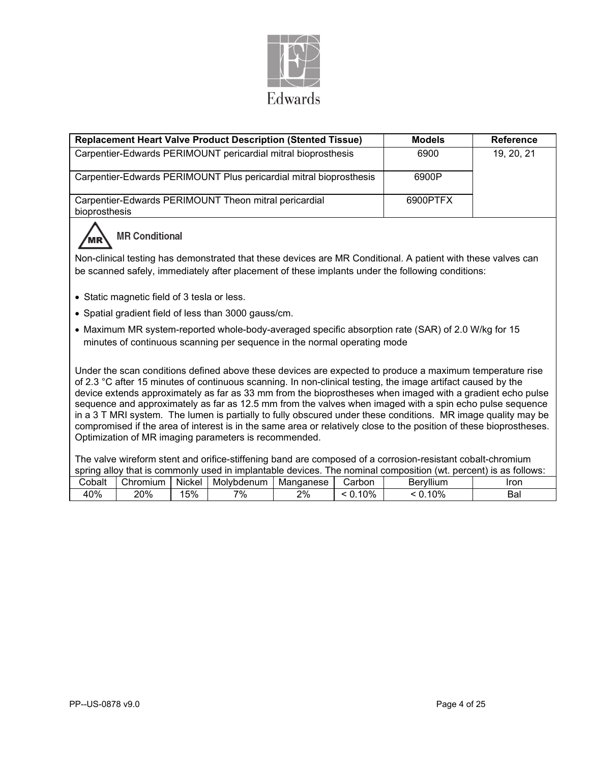

|                                                                                                                                                                                                                                                                                                                                                                                                                                                                                                                                                                                                                                                                                                                                                     |                       |        | <b>Replacement Heart Valve Product Description (Stented Tissue)</b>      |           |            | <b>Models</b>                                                                                                   | <b>Reference</b> |  |  |
|-----------------------------------------------------------------------------------------------------------------------------------------------------------------------------------------------------------------------------------------------------------------------------------------------------------------------------------------------------------------------------------------------------------------------------------------------------------------------------------------------------------------------------------------------------------------------------------------------------------------------------------------------------------------------------------------------------------------------------------------------------|-----------------------|--------|--------------------------------------------------------------------------|-----------|------------|-----------------------------------------------------------------------------------------------------------------|------------------|--|--|
|                                                                                                                                                                                                                                                                                                                                                                                                                                                                                                                                                                                                                                                                                                                                                     |                       |        | Carpentier-Edwards PERIMOUNT pericardial mitral bioprosthesis            |           |            | 6900                                                                                                            | 19, 20, 21       |  |  |
|                                                                                                                                                                                                                                                                                                                                                                                                                                                                                                                                                                                                                                                                                                                                                     |                       |        | Carpentier-Edwards PERIMOUNT Plus pericardial mitral bioprosthesis       |           |            | 6900P                                                                                                           |                  |  |  |
| 6900PTFX<br>Carpentier-Edwards PERIMOUNT Theon mitral pericardial<br>bioprosthesis                                                                                                                                                                                                                                                                                                                                                                                                                                                                                                                                                                                                                                                                  |                       |        |                                                                          |           |            |                                                                                                                 |                  |  |  |
|                                                                                                                                                                                                                                                                                                                                                                                                                                                                                                                                                                                                                                                                                                                                                     | <b>MR Conditional</b> |        |                                                                          |           |            |                                                                                                                 |                  |  |  |
| Non-clinical testing has demonstrated that these devices are MR Conditional. A patient with these valves can<br>be scanned safely, immediately after placement of these implants under the following conditions:                                                                                                                                                                                                                                                                                                                                                                                                                                                                                                                                    |                       |        |                                                                          |           |            |                                                                                                                 |                  |  |  |
| • Static magnetic field of 3 tesla or less.                                                                                                                                                                                                                                                                                                                                                                                                                                                                                                                                                                                                                                                                                                         |                       |        |                                                                          |           |            |                                                                                                                 |                  |  |  |
|                                                                                                                                                                                                                                                                                                                                                                                                                                                                                                                                                                                                                                                                                                                                                     |                       |        | • Spatial gradient field of less than 3000 gauss/cm.                     |           |            |                                                                                                                 |                  |  |  |
|                                                                                                                                                                                                                                                                                                                                                                                                                                                                                                                                                                                                                                                                                                                                                     |                       |        | minutes of continuous scanning per sequence in the normal operating mode |           |            | • Maximum MR system-reported whole-body-averaged specific absorption rate (SAR) of 2.0 W/kg for 15              |                  |  |  |
| Under the scan conditions defined above these devices are expected to produce a maximum temperature rise<br>of 2.3 °C after 15 minutes of continuous scanning. In non-clinical testing, the image artifact caused by the<br>device extends approximately as far as 33 mm from the bioprostheses when imaged with a gradient echo pulse<br>sequence and approximately as far as 12.5 mm from the valves when imaged with a spin echo pulse sequence<br>in a 3 T MRI system. The lumen is partially to fully obscured under these conditions. MR image quality may be<br>compromised if the area of interest is in the same area or relatively close to the position of these bioprostheses.<br>Optimization of MR imaging parameters is recommended. |                       |        |                                                                          |           |            |                                                                                                                 |                  |  |  |
|                                                                                                                                                                                                                                                                                                                                                                                                                                                                                                                                                                                                                                                                                                                                                     |                       |        |                                                                          |           |            | The valve wireform stent and orifice-stiffening band are composed of a corrosion-resistant cobalt-chromium      |                  |  |  |
|                                                                                                                                                                                                                                                                                                                                                                                                                                                                                                                                                                                                                                                                                                                                                     |                       |        |                                                                          |           |            | spring alloy that is commonly used in implantable devices. The nominal composition (wt. percent) is as follows: |                  |  |  |
| Cobalt                                                                                                                                                                                                                                                                                                                                                                                                                                                                                                                                                                                                                                                                                                                                              | Chromium              | Nickel | Molybdenum                                                               | Manganese | Carbon     | Beryllium                                                                                                       | Iron             |  |  |
| 40%                                                                                                                                                                                                                                                                                                                                                                                                                                                                                                                                                                                                                                                                                                                                                 | 20%                   | 15%    | 7%                                                                       | 2%        | $< 0.10\%$ | < 0.10%                                                                                                         | Bal              |  |  |

40% 20% 15% 7% 2% < 0.10% < 0.10% Bal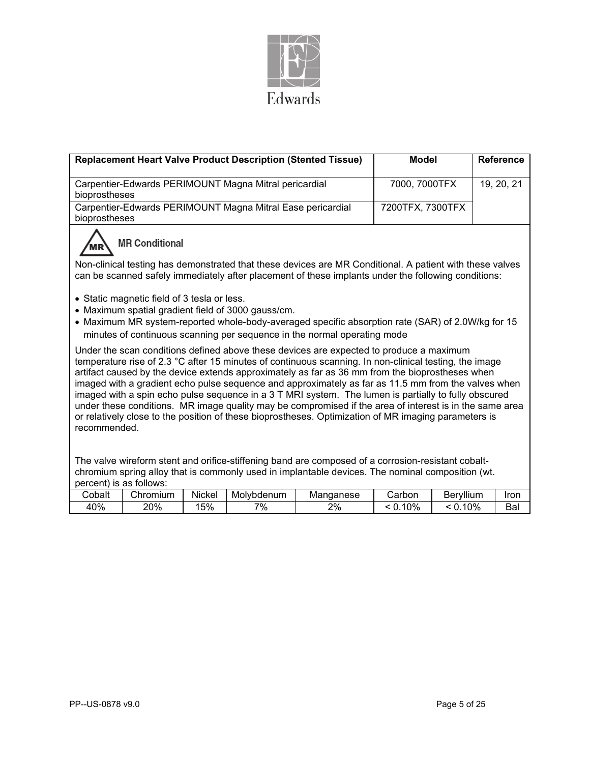

|                                                                                                                                                                                                                                                                                                                                                                                                                                                                                                                                                                                                                                                                                                                                                        |                                                                                                                                                                                                                 |        | <b>Replacement Heart Valve Product Description (Stented Tissue)</b> |           | <b>Model</b>     |           | <b>Reference</b> |  |  |  |
|--------------------------------------------------------------------------------------------------------------------------------------------------------------------------------------------------------------------------------------------------------------------------------------------------------------------------------------------------------------------------------------------------------------------------------------------------------------------------------------------------------------------------------------------------------------------------------------------------------------------------------------------------------------------------------------------------------------------------------------------------------|-----------------------------------------------------------------------------------------------------------------------------------------------------------------------------------------------------------------|--------|---------------------------------------------------------------------|-----------|------------------|-----------|------------------|--|--|--|
| bioprostheses                                                                                                                                                                                                                                                                                                                                                                                                                                                                                                                                                                                                                                                                                                                                          |                                                                                                                                                                                                                 |        | Carpentier-Edwards PERIMOUNT Magna Mitral pericardial               |           | 7000, 7000TFX    |           | 19, 20, 21       |  |  |  |
| bioprostheses                                                                                                                                                                                                                                                                                                                                                                                                                                                                                                                                                                                                                                                                                                                                          |                                                                                                                                                                                                                 |        | Carpentier-Edwards PERIMOUNT Magna Mitral Ease pericardial          |           | 7200TFX, 7300TFX |           |                  |  |  |  |
| <b>MR Conditional</b>                                                                                                                                                                                                                                                                                                                                                                                                                                                                                                                                                                                                                                                                                                                                  |                                                                                                                                                                                                                 |        |                                                                     |           |                  |           |                  |  |  |  |
|                                                                                                                                                                                                                                                                                                                                                                                                                                                                                                                                                                                                                                                                                                                                                        | Non-clinical testing has demonstrated that these devices are MR Conditional. A patient with these valves<br>can be scanned safely immediately after placement of these implants under the following conditions: |        |                                                                     |           |                  |           |                  |  |  |  |
| • Static magnetic field of 3 tesla or less.<br>• Maximum spatial gradient field of 3000 gauss/cm.<br>• Maximum MR system-reported whole-body-averaged specific absorption rate (SAR) of 2.0W/kg for 15<br>minutes of continuous scanning per sequence in the normal operating mode                                                                                                                                                                                                                                                                                                                                                                                                                                                                     |                                                                                                                                                                                                                 |        |                                                                     |           |                  |           |                  |  |  |  |
| Under the scan conditions defined above these devices are expected to produce a maximum<br>temperature rise of 2.3 °C after 15 minutes of continuous scanning. In non-clinical testing, the image<br>artifact caused by the device extends approximately as far as 36 mm from the bioprostheses when<br>imaged with a gradient echo pulse sequence and approximately as far as 11.5 mm from the valves when<br>imaged with a spin echo pulse sequence in a 3 T MRI system. The lumen is partially to fully obscured<br>under these conditions. MR image quality may be compromised if the area of interest is in the same area<br>or relatively close to the position of these bioprostheses. Optimization of MR imaging parameters is<br>recommended. |                                                                                                                                                                                                                 |        |                                                                     |           |                  |           |                  |  |  |  |
| The valve wireform stent and orifice-stiffening band are composed of a corrosion-resistant cobalt-<br>chromium spring alloy that is commonly used in implantable devices. The nominal composition (wt.<br>percent) is as follows:                                                                                                                                                                                                                                                                                                                                                                                                                                                                                                                      |                                                                                                                                                                                                                 |        |                                                                     |           |                  |           |                  |  |  |  |
| Cobalt                                                                                                                                                                                                                                                                                                                                                                                                                                                                                                                                                                                                                                                                                                                                                 | Chromium                                                                                                                                                                                                        | Nickel | Molybdenum                                                          | Manganese | Carbon           | Beryllium | Iron             |  |  |  |
| 40%                                                                                                                                                                                                                                                                                                                                                                                                                                                                                                                                                                                                                                                                                                                                                    | 20%                                                                                                                                                                                                             | 15%    | 7%                                                                  | 2%        | < 0.10%          | < 0.10%   | Bal              |  |  |  |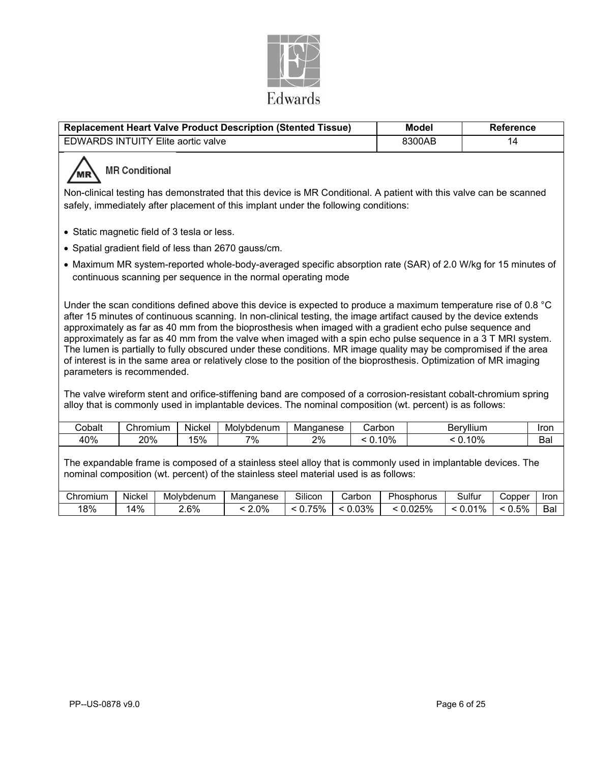

|                                                                                                                                                                                                                                                                                                                                                                                                                                                                                                                                                                                                                                                                                                                                             | Replacement Heart Valve Product Description (Stented Tissue) |        |                                                                                                                                                                                | <b>Model</b> | <b>Reference</b> |        |            |             |  |  |
|---------------------------------------------------------------------------------------------------------------------------------------------------------------------------------------------------------------------------------------------------------------------------------------------------------------------------------------------------------------------------------------------------------------------------------------------------------------------------------------------------------------------------------------------------------------------------------------------------------------------------------------------------------------------------------------------------------------------------------------------|--------------------------------------------------------------|--------|--------------------------------------------------------------------------------------------------------------------------------------------------------------------------------|--------------|------------------|--------|------------|-------------|--|--|
|                                                                                                                                                                                                                                                                                                                                                                                                                                                                                                                                                                                                                                                                                                                                             | <b>EDWARDS INTUITY Elite aortic valve</b>                    |        |                                                                                                                                                                                |              |                  | 8300AB | 14         |             |  |  |
| <b>MR Conditional</b>                                                                                                                                                                                                                                                                                                                                                                                                                                                                                                                                                                                                                                                                                                                       |                                                              |        |                                                                                                                                                                                |              |                  |        |            |             |  |  |
|                                                                                                                                                                                                                                                                                                                                                                                                                                                                                                                                                                                                                                                                                                                                             |                                                              |        | Non-clinical testing has demonstrated that this device is MR Conditional. A patient with this valve can be scanned                                                             |              |                  |        |            |             |  |  |
|                                                                                                                                                                                                                                                                                                                                                                                                                                                                                                                                                                                                                                                                                                                                             |                                                              |        | safely, immediately after placement of this implant under the following conditions:                                                                                            |              |                  |        |            |             |  |  |
|                                                                                                                                                                                                                                                                                                                                                                                                                                                                                                                                                                                                                                                                                                                                             | • Static magnetic field of 3 tesla or less.                  |        |                                                                                                                                                                                |              |                  |        |            |             |  |  |
|                                                                                                                                                                                                                                                                                                                                                                                                                                                                                                                                                                                                                                                                                                                                             |                                                              |        |                                                                                                                                                                                |              |                  |        |            |             |  |  |
|                                                                                                                                                                                                                                                                                                                                                                                                                                                                                                                                                                                                                                                                                                                                             |                                                              |        | • Spatial gradient field of less than 2670 gauss/cm.                                                                                                                           |              |                  |        |            |             |  |  |
|                                                                                                                                                                                                                                                                                                                                                                                                                                                                                                                                                                                                                                                                                                                                             |                                                              |        | • Maximum MR system-reported whole-body-averaged specific absorption rate (SAR) of 2.0 W/kg for 15 minutes of<br>continuous scanning per sequence in the normal operating mode |              |                  |        |            |             |  |  |
| Under the scan conditions defined above this device is expected to produce a maximum temperature rise of 0.8 °C<br>after 15 minutes of continuous scanning. In non-clinical testing, the image artifact caused by the device extends<br>approximately as far as 40 mm from the bioprosthesis when imaged with a gradient echo pulse sequence and<br>approximately as far as 40 mm from the valve when imaged with a spin echo pulse sequence in a 3 T MRI system.<br>The lumen is partially to fully obscured under these conditions. MR image quality may be compromised if the area<br>of interest is in the same area or relatively close to the position of the bioprosthesis. Optimization of MR imaging<br>parameters is recommended. |                                                              |        |                                                                                                                                                                                |              |                  |        |            |             |  |  |
| The valve wireform stent and orifice-stiffening band are composed of a corrosion-resistant cobalt-chromium spring<br>alloy that is commonly used in implantable devices. The nominal composition (wt. percent) is as follows:                                                                                                                                                                                                                                                                                                                                                                                                                                                                                                               |                                                              |        |                                                                                                                                                                                |              |                  |        |            |             |  |  |
| Cobalt                                                                                                                                                                                                                                                                                                                                                                                                                                                                                                                                                                                                                                                                                                                                      | Chromium                                                     | Nickel | Molybdenum                                                                                                                                                                     | Manganese    | Carbon           |        | Beryllium  | <b>Iron</b> |  |  |
| 40%                                                                                                                                                                                                                                                                                                                                                                                                                                                                                                                                                                                                                                                                                                                                         | 20%                                                          | 15%    | 7%                                                                                                                                                                             | 2%           | $< 0.10\%$       |        | $< 0.10\%$ | Bal         |  |  |

The expandable frame is composed of a stainless steel alloy that is commonly used in implantable devices. The nominal composition (wt. percent) of the stainless steel material used is as follows:

| Chromium | .<br>Nickel | Molvbdenum | Manganese | Silicon        | -<br>Carbor | Phosphorus | -<br>ulturٽ       | Copper        | Iron     |
|----------|-------------|------------|-----------|----------------|-------------|------------|-------------------|---------------|----------|
| 18%      | 4%          | 2.6%       | $2.0\%$   | 75%<br>U.<br>ັ | .03%        | .025%<br>- | 10/2<br>70<br>U.U | 5%<br><b></b> | -<br>Ba⊧ |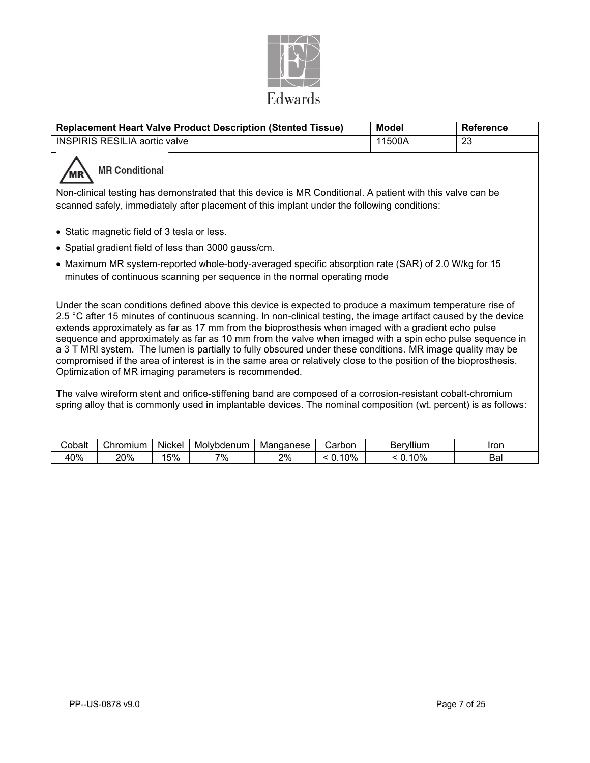

| <b>Replacement Heart Valve Product Description (Stented Tissue)</b><br><b>Model</b><br><b>Reference</b>                                                                                                                                                                                                                                                                                                                                                                                                                                                                                                                                                                                                                                     |                                                                                                                                                                                |        |                                                      |           |         |           |             |  |  |
|---------------------------------------------------------------------------------------------------------------------------------------------------------------------------------------------------------------------------------------------------------------------------------------------------------------------------------------------------------------------------------------------------------------------------------------------------------------------------------------------------------------------------------------------------------------------------------------------------------------------------------------------------------------------------------------------------------------------------------------------|--------------------------------------------------------------------------------------------------------------------------------------------------------------------------------|--------|------------------------------------------------------|-----------|---------|-----------|-------------|--|--|
|                                                                                                                                                                                                                                                                                                                                                                                                                                                                                                                                                                                                                                                                                                                                             | <b>INSPIRIS RESILIA aortic valve</b>                                                                                                                                           |        |                                                      |           |         | 11500A    | 23          |  |  |
| <b>MR Conditional</b>                                                                                                                                                                                                                                                                                                                                                                                                                                                                                                                                                                                                                                                                                                                       |                                                                                                                                                                                |        |                                                      |           |         |           |             |  |  |
| Non-clinical testing has demonstrated that this device is MR Conditional. A patient with this valve can be<br>scanned safely, immediately after placement of this implant under the following conditions:                                                                                                                                                                                                                                                                                                                                                                                                                                                                                                                                   |                                                                                                                                                                                |        |                                                      |           |         |           |             |  |  |
|                                                                                                                                                                                                                                                                                                                                                                                                                                                                                                                                                                                                                                                                                                                                             | • Static magnetic field of 3 tesla or less.                                                                                                                                    |        |                                                      |           |         |           |             |  |  |
|                                                                                                                                                                                                                                                                                                                                                                                                                                                                                                                                                                                                                                                                                                                                             |                                                                                                                                                                                |        | • Spatial gradient field of less than 3000 gauss/cm. |           |         |           |             |  |  |
|                                                                                                                                                                                                                                                                                                                                                                                                                                                                                                                                                                                                                                                                                                                                             | • Maximum MR system-reported whole-body-averaged specific absorption rate (SAR) of 2.0 W/kg for 15<br>minutes of continuous scanning per sequence in the normal operating mode |        |                                                      |           |         |           |             |  |  |
| Under the scan conditions defined above this device is expected to produce a maximum temperature rise of<br>2.5 °C after 15 minutes of continuous scanning. In non-clinical testing, the image artifact caused by the device<br>extends approximately as far as 17 mm from the bioprosthesis when imaged with a gradient echo pulse<br>sequence and approximately as far as 10 mm from the valve when imaged with a spin echo pulse sequence in<br>a 3 T MRI system. The lumen is partially to fully obscured under these conditions. MR image quality may be<br>compromised if the area of interest is in the same area or relatively close to the position of the bioprosthesis.<br>Optimization of MR imaging parameters is recommended. |                                                                                                                                                                                |        |                                                      |           |         |           |             |  |  |
| The valve wireform stent and orifice-stiffening band are composed of a corrosion-resistant cobalt-chromium<br>spring alloy that is commonly used in implantable devices. The nominal composition (wt. percent) is as follows:                                                                                                                                                                                                                                                                                                                                                                                                                                                                                                               |                                                                                                                                                                                |        |                                                      |           |         |           |             |  |  |
| Cobalt                                                                                                                                                                                                                                                                                                                                                                                                                                                                                                                                                                                                                                                                                                                                      | Chromium                                                                                                                                                                       | Nickel | Molybdenum                                           | Manganese | Carbon  | Beryllium | <b>Iron</b> |  |  |
| 40%                                                                                                                                                                                                                                                                                                                                                                                                                                                                                                                                                                                                                                                                                                                                         | 20%                                                                                                                                                                            | 15%    | 7%                                                   | 2%        | < 0.10% | < 0.10%   | Bal         |  |  |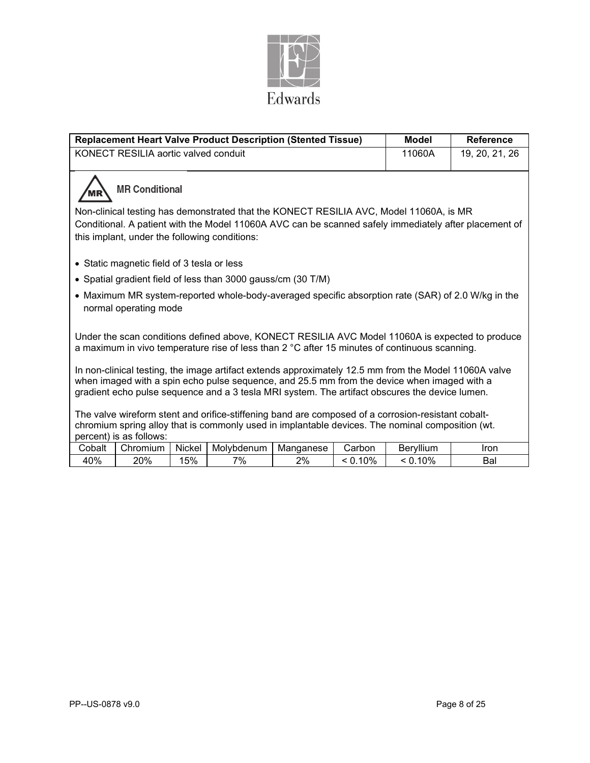

|        |                                               |        | <b>Replacement Heart Valve Product Description (Stented Tissue)</b>                                                                                                                                                                                                                                    |           |         | <b>Model</b>     | <b>Reference</b>                                                                                      |
|--------|-----------------------------------------------|--------|--------------------------------------------------------------------------------------------------------------------------------------------------------------------------------------------------------------------------------------------------------------------------------------------------------|-----------|---------|------------------|-------------------------------------------------------------------------------------------------------|
|        | KONECT RESILIA aortic valved conduit          |        |                                                                                                                                                                                                                                                                                                        |           |         | 11060A           | 19, 20, 21, 26                                                                                        |
|        | <b>MR Conditional</b>                         |        |                                                                                                                                                                                                                                                                                                        |           |         |                  |                                                                                                       |
|        |                                               |        | Non-clinical testing has demonstrated that the KONECT RESILIA AVC, Model 11060A, is MR                                                                                                                                                                                                                 |           |         |                  | Conditional. A patient with the Model 11060A AVC can be scanned safely immediately after placement of |
|        | this implant, under the following conditions: |        |                                                                                                                                                                                                                                                                                                        |           |         |                  |                                                                                                       |
|        | • Static magnetic field of 3 tesla or less    |        |                                                                                                                                                                                                                                                                                                        |           |         |                  |                                                                                                       |
|        |                                               |        | • Spatial gradient field of less than 3000 gauss/cm (30 T/M)                                                                                                                                                                                                                                           |           |         |                  |                                                                                                       |
|        | normal operating mode                         |        |                                                                                                                                                                                                                                                                                                        |           |         |                  | • Maximum MR system-reported whole-body-averaged specific absorption rate (SAR) of 2.0 W/kg in the    |
|        |                                               |        | a maximum in vivo temperature rise of less than $2 \degree C$ after 15 minutes of continuous scanning.                                                                                                                                                                                                 |           |         |                  | Under the scan conditions defined above, KONECT RESILIA AVC Model 11060A is expected to produce       |
|        |                                               |        | In non-clinical testing, the image artifact extends approximately 12.5 mm from the Model 11060A valve<br>when imaged with a spin echo pulse sequence, and 25.5 mm from the device when imaged with a<br>gradient echo pulse sequence and a 3 tesla MRI system. The artifact obscures the device lumen. |           |         |                  |                                                                                                       |
|        | percent) is as follows:                       |        | The valve wireform stent and orifice-stiffening band are composed of a corrosion-resistant cobalt-<br>chromium spring alloy that is commonly used in implantable devices. The nominal composition (wt.                                                                                                 |           |         |                  |                                                                                                       |
| Cobalt | Chromium                                      | Nickel | Molybdenum                                                                                                                                                                                                                                                                                             | Manganese | Carbon  | <b>Beryllium</b> | Iron                                                                                                  |
| 40%    | 20%                                           | 15%    | 7%                                                                                                                                                                                                                                                                                                     | 2%        | < 0.10% | < 0.10%          | Bal                                                                                                   |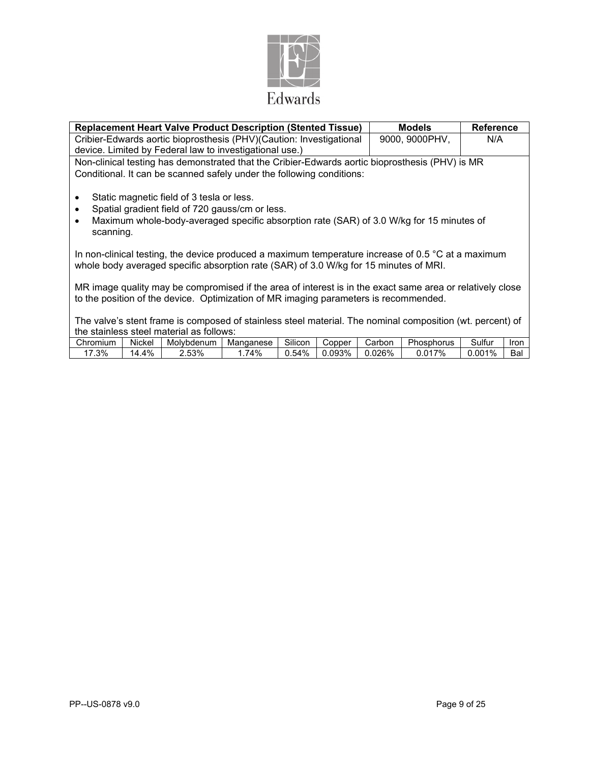

| <b>Replacement Heart Valve Product Description (Stented Tissue)</b>                                                                                                                                                                          | <b>Models</b>  | <b>Reference</b> |  |  |
|----------------------------------------------------------------------------------------------------------------------------------------------------------------------------------------------------------------------------------------------|----------------|------------------|--|--|
| Cribier-Edwards aortic bioprosthesis (PHV)(Caution: Investigational                                                                                                                                                                          | 9000, 9000PHV, | N/A              |  |  |
| device. Limited by Federal law to investigational use.)                                                                                                                                                                                      |                |                  |  |  |
| Non-clinical testing has demonstrated that the Cribier-Edwards aortic bioprosthesis (PHV) is MR                                                                                                                                              |                |                  |  |  |
| Conditional. It can be scanned safely under the following conditions:                                                                                                                                                                        |                |                  |  |  |
| Static magnetic field of 3 tesla or less.<br>$\bullet$<br>Spatial gradient field of 720 gauss/cm or less.<br>$\bullet$<br>Maximum whole-body-averaged specific absorption rate (SAR) of 3.0 W/kg for 15 minutes of<br>$\bullet$<br>scanning. |                |                  |  |  |
| In non-clinical testing, the device produced a maximum temperature increase of 0.5 $\degree$ C at a maximum<br>whole body averaged specific absorption rate (SAR) of 3.0 W/kg for 15 minutes of MRI.                                         |                |                  |  |  |
| MR image quality may be compromised if the area of interest is in the exact same area or relatively close<br>to the position of the device. Optimization of MR imaging parameters is recommended.                                            |                |                  |  |  |
| The valve's stent frame is composed of stainless steel material. The nominal composition (wt. percent) of<br>the stainless steel material as follows:                                                                                        |                |                  |  |  |

| Chromium | Nickel   | Molvbdenum | Manganese | $\sim$<br><b>SILICON</b> | opper | Carbon | nь<br>hosphorus | $\cdot$ $\cdot$<br>-<br>≾ultur | lron      |
|----------|----------|------------|-----------|--------------------------|-------|--------|-----------------|--------------------------------|-----------|
| .3%      | 4%<br>۰4 | 2.53%      | '4%       | 0.54%                    | .093% | .026%  | 017%            | $2.001\%$                      | –∽<br>Ddl |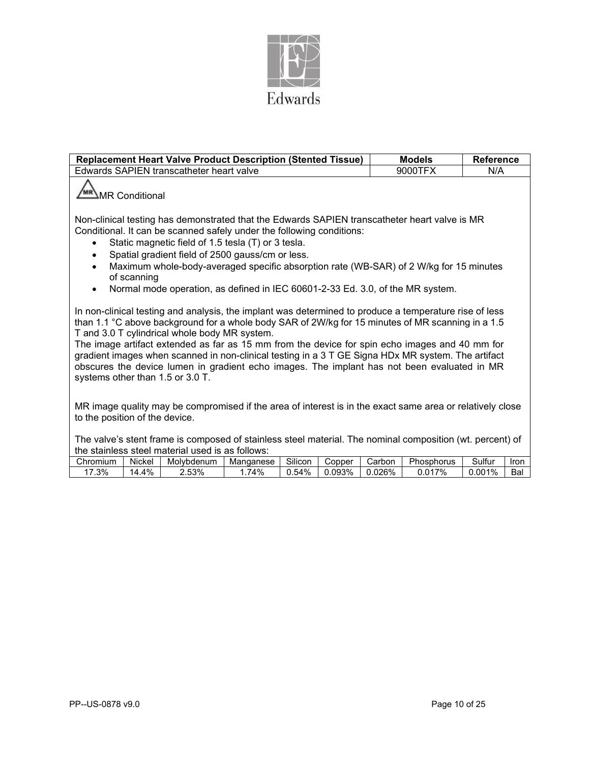

| <b>Replacement Heart Valve Product Description (Stented Tissue)</b>                                                                                                                                                                                                                                                                                                                                                                                                                                                                                                                                     | <b>Models</b> | <b>Reference</b> |
|---------------------------------------------------------------------------------------------------------------------------------------------------------------------------------------------------------------------------------------------------------------------------------------------------------------------------------------------------------------------------------------------------------------------------------------------------------------------------------------------------------------------------------------------------------------------------------------------------------|---------------|------------------|
| Edwards SAPIEN transcatheter heart valve                                                                                                                                                                                                                                                                                                                                                                                                                                                                                                                                                                | 9000TFX       | N/A              |
| <sup>MR</sup> ∆MR Conditional                                                                                                                                                                                                                                                                                                                                                                                                                                                                                                                                                                           |               |                  |
| Non-clinical testing has demonstrated that the Edwards SAPIEN transcatheter heart valve is MR<br>Conditional. It can be scanned safely under the following conditions:<br>Static magnetic field of 1.5 tesla (T) or 3 tesla.<br>Spatial gradient field of 2500 gauss/cm or less.<br>Maximum whole-body-averaged specific absorption rate (WB-SAR) of 2 W/kg for 15 minutes<br>$\bullet$<br>of scanning                                                                                                                                                                                                  |               |                  |
| Normal mode operation, as defined in IEC 60601-2-33 Ed. 3.0, of the MR system.<br>$\bullet$                                                                                                                                                                                                                                                                                                                                                                                                                                                                                                             |               |                  |
| In non-clinical testing and analysis, the implant was determined to produce a temperature rise of less<br>than 1.1 °C above background for a whole body SAR of 2W/kg for 15 minutes of MR scanning in a 1.5<br>T and 3.0 T cylindrical whole body MR system.<br>The image artifact extended as far as 15 mm from the device for spin echo images and 40 mm for<br>gradient images when scanned in non-clinical testing in a 3 T GE Signa HDx MR system. The artifact<br>obscures the device lumen in gradient echo images. The implant has not been evaluated in MR<br>systems other than 1.5 or 3.0 T. |               |                  |
| MR image quality may be compromised if the area of interest is in the exact same area or relatively close<br>to the position of the device.                                                                                                                                                                                                                                                                                                                                                                                                                                                             |               |                  |
| The valve's stent frame is composed of stainless steel material. The nominal composition (wt. percent) of<br>the stainless steel material used is as follows:                                                                                                                                                                                                                                                                                                                                                                                                                                           |               |                  |

| .        |        |            | .         |         |        |        |            |         |      |
|----------|--------|------------|-----------|---------|--------|--------|------------|---------|------|
| Chromium | Nickel | Molvbdenum | Mandanese | Silicon | ۔opper | Carbon | Phosphorus | sulfurٽ | Iron |
| .3%      | 14.4%  | 2.53%      | '4%       | 0.54%   | .093%  | 0.026% | 0.017%     | 0.001%  | Bal  |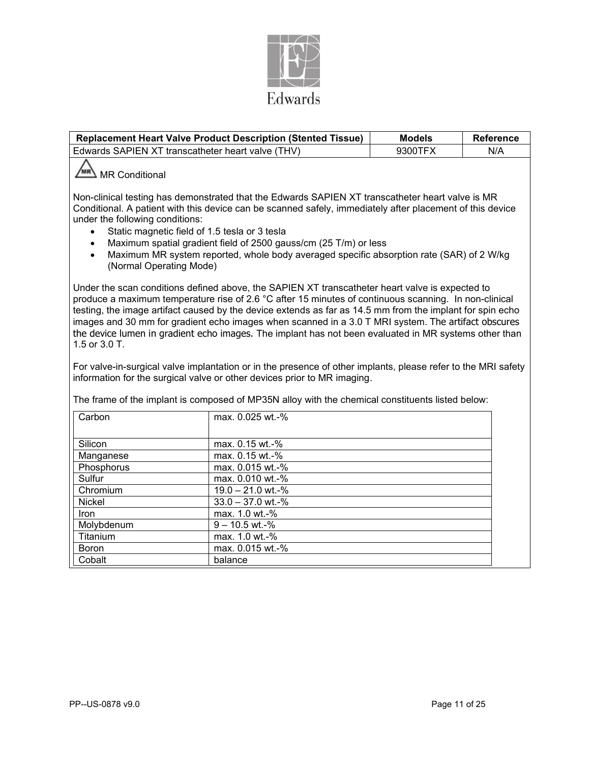

|                                                                                                                                                                                   | <b>Replacement Heart Valve Product Description (Stented Tissue)</b>                                                                                                                                                                                                                                                                                                                                                                                                                                                                                                                                                                                                                                                                | <b>Models</b> | <b>Reference</b> |
|-----------------------------------------------------------------------------------------------------------------------------------------------------------------------------------|------------------------------------------------------------------------------------------------------------------------------------------------------------------------------------------------------------------------------------------------------------------------------------------------------------------------------------------------------------------------------------------------------------------------------------------------------------------------------------------------------------------------------------------------------------------------------------------------------------------------------------------------------------------------------------------------------------------------------------|---------------|------------------|
| Edwards SAPIEN XT transcatheter heart valve (THV)                                                                                                                                 |                                                                                                                                                                                                                                                                                                                                                                                                                                                                                                                                                                                                                                                                                                                                    | 9300TFX       | N/A              |
| / <sub>MR</sub><br><b>MR Conditional</b><br>under the following conditions:<br>Static magnetic field of 1.5 tesla or 3 tesla<br>$\bullet$<br>$\bullet$<br>(Normal Operating Mode) | Non-clinical testing has demonstrated that the Edwards SAPIEN XT transcatheter heart valve is MR<br>Conditional. A patient with this device can be scanned safely, immediately after placement of this device<br>Maximum spatial gradient field of 2500 gauss/cm (25 T/m) or less<br>Maximum MR system reported, whole body averaged specific absorption rate (SAR) of 2 W/kg                                                                                                                                                                                                                                                                                                                                                      |               |                  |
| 1.5 or 3.0 T.                                                                                                                                                                     | Under the scan conditions defined above, the SAPIEN XT transcatheter heart valve is expected to<br>produce a maximum temperature rise of 2.6 °C after 15 minutes of continuous scanning. In non-clinical<br>testing, the image artifact caused by the device extends as far as 14.5 mm from the implant for spin echo<br>images and 30 mm for gradient echo images when scanned in a 3.0 T MRI system. The artifact obscures<br>the device lumen in gradient echo images. The implant has not been evaluated in MR systems other than<br>For valve-in-surgical valve implantation or in the presence of other implants, please refer to the MRI safety<br>information for the surgical valve or other devices prior to MR imaging. |               |                  |
|                                                                                                                                                                                   | The frame of the implant is composed of MP35N alloy with the chemical constituents listed below:                                                                                                                                                                                                                                                                                                                                                                                                                                                                                                                                                                                                                                   |               |                  |
| Carbon                                                                                                                                                                            | max. 0.025 wt.-%                                                                                                                                                                                                                                                                                                                                                                                                                                                                                                                                                                                                                                                                                                                   |               |                  |
| Silicon                                                                                                                                                                           | max. 0.15 wt.-%                                                                                                                                                                                                                                                                                                                                                                                                                                                                                                                                                                                                                                                                                                                    |               |                  |
| Manganese                                                                                                                                                                         | max. 0.15 wt.-%                                                                                                                                                                                                                                                                                                                                                                                                                                                                                                                                                                                                                                                                                                                    |               |                  |
| Phosphorus                                                                                                                                                                        | max. 0.015 wt.-%                                                                                                                                                                                                                                                                                                                                                                                                                                                                                                                                                                                                                                                                                                                   |               |                  |
| Sulfur                                                                                                                                                                            | max. 0.010 wt.-%                                                                                                                                                                                                                                                                                                                                                                                                                                                                                                                                                                                                                                                                                                                   |               |                  |
| Chromium                                                                                                                                                                          | 19.0 - 21.0 wt.-%                                                                                                                                                                                                                                                                                                                                                                                                                                                                                                                                                                                                                                                                                                                  |               |                  |
| <b>Nickel</b>                                                                                                                                                                     | $33.0 - 37.0$ wt.-%                                                                                                                                                                                                                                                                                                                                                                                                                                                                                                                                                                                                                                                                                                                |               |                  |
| <b>Iron</b>                                                                                                                                                                       | max. 1.0 wt.-%                                                                                                                                                                                                                                                                                                                                                                                                                                                                                                                                                                                                                                                                                                                     |               |                  |
| Molybdenum                                                                                                                                                                        | $9 - 10.5$ wt.-%                                                                                                                                                                                                                                                                                                                                                                                                                                                                                                                                                                                                                                                                                                                   |               |                  |
| Titanium                                                                                                                                                                          | max. 1.0 wt.-%                                                                                                                                                                                                                                                                                                                                                                                                                                                                                                                                                                                                                                                                                                                     |               |                  |
| <b>Boron</b>                                                                                                                                                                      | max. 0.015 wt.-%                                                                                                                                                                                                                                                                                                                                                                                                                                                                                                                                                                                                                                                                                                                   |               |                  |
| Cobalt                                                                                                                                                                            | balance                                                                                                                                                                                                                                                                                                                                                                                                                                                                                                                                                                                                                                                                                                                            |               |                  |
|                                                                                                                                                                                   |                                                                                                                                                                                                                                                                                                                                                                                                                                                                                                                                                                                                                                                                                                                                    |               |                  |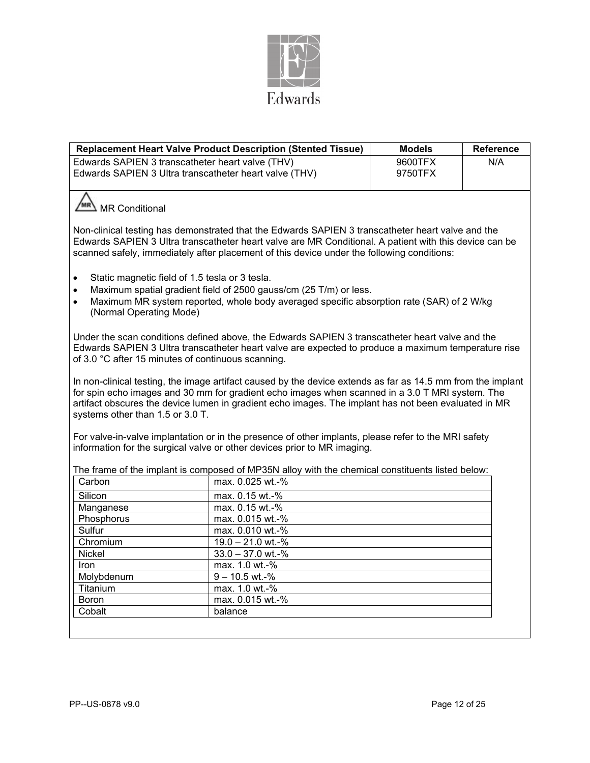

|                                                                                                                                                                                                                                                                                                           | <b>Replacement Heart Valve Product Description (Stented Tissue)</b>                                                                                                                                                                                                                                                    | <b>Models</b> | <b>Reference</b> |  |  |  |
|-----------------------------------------------------------------------------------------------------------------------------------------------------------------------------------------------------------------------------------------------------------------------------------------------------------|------------------------------------------------------------------------------------------------------------------------------------------------------------------------------------------------------------------------------------------------------------------------------------------------------------------------|---------------|------------------|--|--|--|
| Edwards SAPIEN 3 transcatheter heart valve (THV)<br>Edwards SAPIEN 3 Ultra transcatheter heart valve (THV)                                                                                                                                                                                                | 9600TFX<br>9750TFX                                                                                                                                                                                                                                                                                                     | N/A           |                  |  |  |  |
| MR Conditional                                                                                                                                                                                                                                                                                            |                                                                                                                                                                                                                                                                                                                        |               |                  |  |  |  |
| Non-clinical testing has demonstrated that the Edwards SAPIEN 3 transcatheter heart valve and the<br>Edwards SAPIEN 3 Ultra transcatheter heart valve are MR Conditional. A patient with this device can be<br>scanned safely, immediately after placement of this device under the following conditions: |                                                                                                                                                                                                                                                                                                                        |               |                  |  |  |  |
| Static magnetic field of 1.5 tesla or 3 tesla.<br>$\bullet$<br>Maximum spatial gradient field of 2500 gauss/cm (25 T/m) or less.<br>$\bullet$<br>Maximum MR system reported, whole body averaged specific absorption rate (SAR) of 2 W/kg<br>$\bullet$<br>(Normal Operating Mode)                         |                                                                                                                                                                                                                                                                                                                        |               |                  |  |  |  |
| Under the scan conditions defined above, the Edwards SAPIEN 3 transcatheter heart valve and the<br>Edwards SAPIEN 3 Ultra transcatheter heart valve are expected to produce a maximum temperature rise<br>of 3.0 °C after 15 minutes of continuous scanning.                                              |                                                                                                                                                                                                                                                                                                                        |               |                  |  |  |  |
| systems other than 1.5 or 3.0 T.                                                                                                                                                                                                                                                                          | In non-clinical testing, the image artifact caused by the device extends as far as 14.5 mm from the implant<br>for spin echo images and 30 mm for gradient echo images when scanned in a 3.0 T MRI system. The<br>artifact obscures the device lumen in gradient echo images. The implant has not been evaluated in MR |               |                  |  |  |  |
|                                                                                                                                                                                                                                                                                                           | For valve-in-valve implantation or in the presence of other implants, please refer to the MRI safety<br>information for the surgical valve or other devices prior to MR imaging.                                                                                                                                       |               |                  |  |  |  |
|                                                                                                                                                                                                                                                                                                           | The frame of the implant is composed of MP35N alloy with the chemical constituents listed below:                                                                                                                                                                                                                       |               |                  |  |  |  |
| Carbon                                                                                                                                                                                                                                                                                                    | max. 0.025 wt.-%                                                                                                                                                                                                                                                                                                       |               |                  |  |  |  |
| Silicon                                                                                                                                                                                                                                                                                                   | max. 0.15 wt.-%                                                                                                                                                                                                                                                                                                        |               |                  |  |  |  |
| Manganese                                                                                                                                                                                                                                                                                                 | max. 0.15 wt.-%                                                                                                                                                                                                                                                                                                        |               |                  |  |  |  |
| Phosphorus                                                                                                                                                                                                                                                                                                | max. 0.015 wt.-%                                                                                                                                                                                                                                                                                                       |               |                  |  |  |  |
| Sulfur                                                                                                                                                                                                                                                                                                    | max. 0.010 wt.-%                                                                                                                                                                                                                                                                                                       |               |                  |  |  |  |
| Chromium                                                                                                                                                                                                                                                                                                  | 19.0 - 21.0 wt.-%                                                                                                                                                                                                                                                                                                      |               |                  |  |  |  |
| Nickel                                                                                                                                                                                                                                                                                                    | $33.0 - 37.0$ wt.-%                                                                                                                                                                                                                                                                                                    |               |                  |  |  |  |
| Iron                                                                                                                                                                                                                                                                                                      | max. 1.0 wt.-%                                                                                                                                                                                                                                                                                                         |               |                  |  |  |  |
| Molybdenum                                                                                                                                                                                                                                                                                                | $9 - 10.5$ wt.-%                                                                                                                                                                                                                                                                                                       |               |                  |  |  |  |
| Titanium                                                                                                                                                                                                                                                                                                  | max. 1.0 wt.-%                                                                                                                                                                                                                                                                                                         |               |                  |  |  |  |
| <b>Boron</b>                                                                                                                                                                                                                                                                                              | max. 0.015 wt.-%                                                                                                                                                                                                                                                                                                       |               |                  |  |  |  |
| Cobalt                                                                                                                                                                                                                                                                                                    | balance                                                                                                                                                                                                                                                                                                                |               |                  |  |  |  |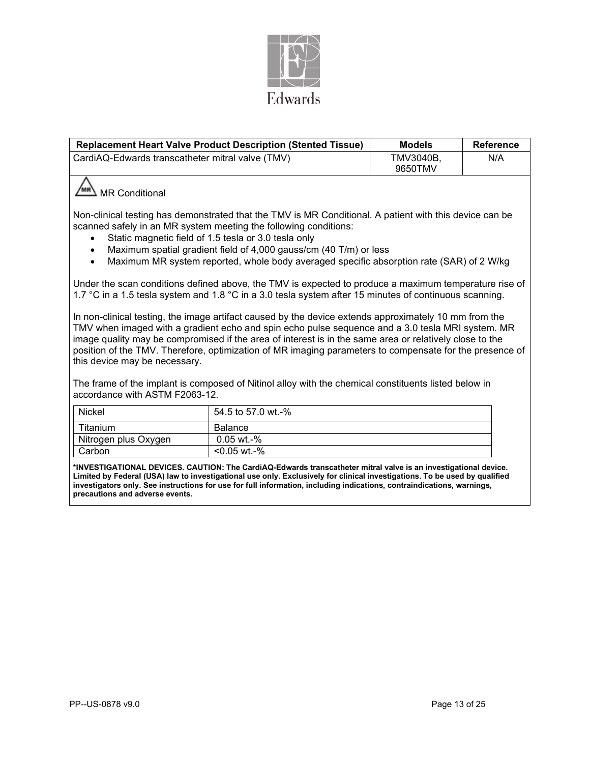

|                                                                                                                                                                                                                                                                                                                                                                                                                                                                  | <b>Replacement Heart Valve Product Description (Stented Tissue)</b> | <b>Models</b>        | <b>Reference</b> |  |
|------------------------------------------------------------------------------------------------------------------------------------------------------------------------------------------------------------------------------------------------------------------------------------------------------------------------------------------------------------------------------------------------------------------------------------------------------------------|---------------------------------------------------------------------|----------------------|------------------|--|
| CardiAQ-Edwards transcatheter mitral valve (TMV)                                                                                                                                                                                                                                                                                                                                                                                                                 |                                                                     | TMV3040B,<br>9650TMV | N/A              |  |
| <b>MR Conditional</b>                                                                                                                                                                                                                                                                                                                                                                                                                                            |                                                                     |                      |                  |  |
| Non-clinical testing has demonstrated that the TMV is MR Conditional. A patient with this device can be<br>scanned safely in an MR system meeting the following conditions:<br>Static magnetic field of 1.5 tesla or 3.0 tesla only<br>Maximum spatial gradient field of 4,000 gauss/cm (40 T/m) or less<br>Maximum MR system reported, whole body averaged specific absorption rate (SAR) of 2 W/kg                                                             |                                                                     |                      |                  |  |
| Under the scan conditions defined above, the TMV is expected to produce a maximum temperature rise of<br>1.7 °C in a 1.5 tesla system and 1.8 °C in a 3.0 tesla system after 15 minutes of continuous scanning.                                                                                                                                                                                                                                                  |                                                                     |                      |                  |  |
| In non-clinical testing, the image artifact caused by the device extends approximately 10 mm from the<br>TMV when imaged with a gradient echo and spin echo pulse sequence and a 3.0 tesla MRI system. MR<br>image quality may be compromised if the area of interest is in the same area or relatively close to the<br>position of the TMV. Therefore, optimization of MR imaging parameters to compensate for the presence of<br>this device may be necessary. |                                                                     |                      |                  |  |
| The frame of the implant is composed of Nitinol alloy with the chemical constituents listed below in<br>accordance with ASTM F2063-12.                                                                                                                                                                                                                                                                                                                           |                                                                     |                      |                  |  |
| <b>Nickel</b>                                                                                                                                                                                                                                                                                                                                                                                                                                                    | 54.5 to 57.0 wt.-%                                                  |                      |                  |  |
| Titanium                                                                                                                                                                                                                                                                                                                                                                                                                                                         | <b>Balance</b>                                                      |                      |                  |  |
| Nitrogen plus Oxygen                                                                                                                                                                                                                                                                                                                                                                                                                                             | 0.05 wt.-%                                                          |                      |                  |  |
| Carbon                                                                                                                                                                                                                                                                                                                                                                                                                                                           | $< 0.05$ wt.-%                                                      |                      |                  |  |

**\*INVESTIGATIONAL DEVICES. CAUTION: The CardiAQ-Edwards transcatheter mitral valve is an investigational device. Limited by Federal (USA) law to investigational use only. Exclusively for clinical investigations. To be used by qualified investigators only. See instructions for use for full information, including indications, contraindications, warnings, precautions and adverse events.**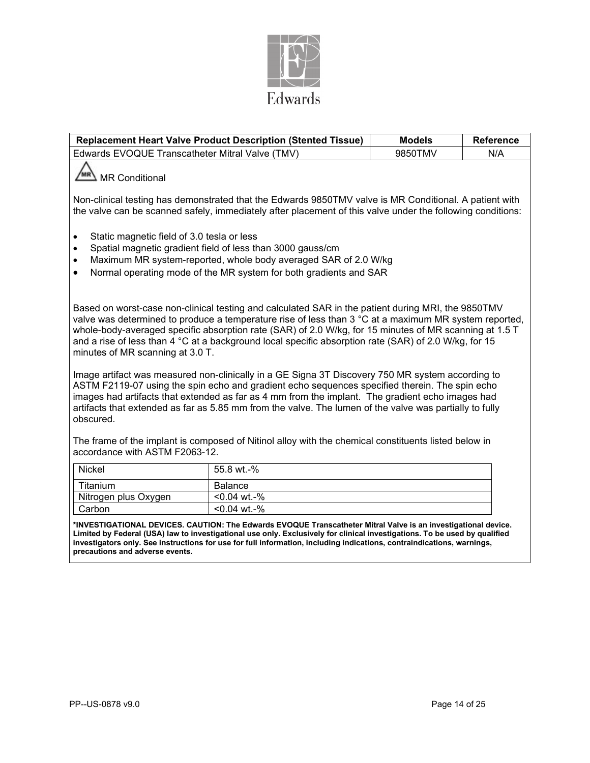

|                                                                                                                                                                                                                                                                                                                                                                                                                                                                    | <b>Replacement Heart Valve Product Description (Stented Tissue)</b> | <b>Models</b> | <b>Reference</b> |  |  |  |
|--------------------------------------------------------------------------------------------------------------------------------------------------------------------------------------------------------------------------------------------------------------------------------------------------------------------------------------------------------------------------------------------------------------------------------------------------------------------|---------------------------------------------------------------------|---------------|------------------|--|--|--|
| Edwards EVOQUE Transcatheter Mitral Valve (TMV)                                                                                                                                                                                                                                                                                                                                                                                                                    |                                                                     | 9850TMV       | N/A              |  |  |  |
| <b>MR Conditional</b>                                                                                                                                                                                                                                                                                                                                                                                                                                              |                                                                     |               |                  |  |  |  |
| Non-clinical testing has demonstrated that the Edwards 9850TMV valve is MR Conditional. A patient with<br>the valve can be scanned safely, immediately after placement of this valve under the following conditions:                                                                                                                                                                                                                                               |                                                                     |               |                  |  |  |  |
| Static magnetic field of 3.0 tesla or less<br>$\bullet$<br>Spatial magnetic gradient field of less than 3000 gauss/cm<br>$\bullet$<br>Maximum MR system-reported, whole body averaged SAR of 2.0 W/kg<br>$\bullet$<br>Normal operating mode of the MR system for both gradients and SAR<br>$\bullet$                                                                                                                                                               |                                                                     |               |                  |  |  |  |
| Based on worst-case non-clinical testing and calculated SAR in the patient during MRI, the 9850TMV<br>valve was determined to produce a temperature rise of less than 3 °C at a maximum MR system reported,<br>whole-body-averaged specific absorption rate (SAR) of 2.0 W/kg, for 15 minutes of MR scanning at 1.5 T<br>and a rise of less than 4 °C at a background local specific absorption rate (SAR) of 2.0 W/kg, for 15<br>minutes of MR scanning at 3.0 T. |                                                                     |               |                  |  |  |  |
| Image artifact was measured non-clinically in a GE Signa 3T Discovery 750 MR system according to<br>ASTM F2119-07 using the spin echo and gradient echo sequences specified therein. The spin echo<br>images had artifacts that extended as far as 4 mm from the implant. The gradient echo images had<br>artifacts that extended as far as 5.85 mm from the valve. The lumen of the valve was partially to fully<br>obscured.                                     |                                                                     |               |                  |  |  |  |
| The frame of the implant is composed of Nitinol alloy with the chemical constituents listed below in<br>accordance with ASTM F2063-12.                                                                                                                                                                                                                                                                                                                             |                                                                     |               |                  |  |  |  |
| <b>Nickel</b>                                                                                                                                                                                                                                                                                                                                                                                                                                                      | 55.8 wt.-%                                                          |               |                  |  |  |  |

| Nickel               | 55.8 wt.-%     |
|----------------------|----------------|
| Titanium             | Balance        |
| Nitrogen plus Oxygen | <0.04 wt.-%    |
| Carbon               | $< 0.04$ wt.-% |

**\*INVESTIGATIONAL DEVICES. CAUTION: The Edwards EVOQUE Transcatheter Mitral Valve is an investigational device. Limited by Federal (USA) law to investigational use only. Exclusively for clinical investigations. To be used by qualified investigators only. See instructions for use for full information, including indications, contraindications, warnings, precautions and adverse events.**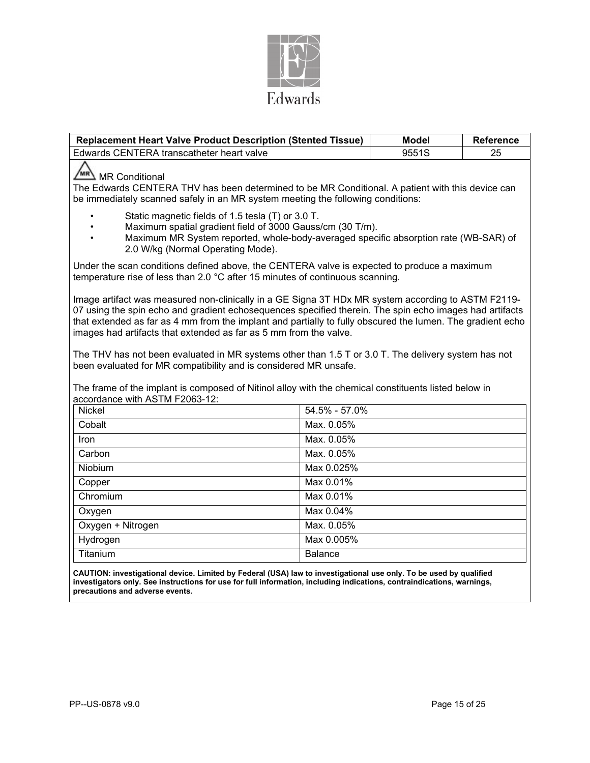

| <b>Replacement Heart Valve Product Description (Stented Tissue)</b>                                                                                                                                                                                                                                                                                                                              |                   | <b>Model</b> | <b>Reference</b> |  |  |
|--------------------------------------------------------------------------------------------------------------------------------------------------------------------------------------------------------------------------------------------------------------------------------------------------------------------------------------------------------------------------------------------------|-------------------|--------------|------------------|--|--|
| Edwards CENTERA transcatheter heart valve                                                                                                                                                                                                                                                                                                                                                        |                   | 9551S        | 25               |  |  |
| MR Conditional<br>The Edwards CENTERA THV has been determined to be MR Conditional. A patient with this device can<br>be immediately scanned safely in an MR system meeting the following conditions:                                                                                                                                                                                            |                   |              |                  |  |  |
| Static magnetic fields of 1.5 tesla (T) or 3.0 T.<br>Maximum spatial gradient field of 3000 Gauss/cm (30 T/m).<br>Maximum MR System reported, whole-body-averaged specific absorption rate (WB-SAR) of<br>2.0 W/kg (Normal Operating Mode).                                                                                                                                                      |                   |              |                  |  |  |
| Under the scan conditions defined above, the CENTERA valve is expected to produce a maximum<br>temperature rise of less than 2.0 °C after 15 minutes of continuous scanning.                                                                                                                                                                                                                     |                   |              |                  |  |  |
| Image artifact was measured non-clinically in a GE Signa 3T HDx MR system according to ASTM F2119-<br>07 using the spin echo and gradient echosequences specified therein. The spin echo images had artifacts<br>that extended as far as 4 mm from the implant and partially to fully obscured the lumen. The gradient echo<br>images had artifacts that extended as far as 5 mm from the valve. |                   |              |                  |  |  |
| The THV has not been evaluated in MR systems other than 1.5 T or 3.0 T. The delivery system has not<br>been evaluated for MR compatibility and is considered MR unsafe.<br>The frame of the implant is composed of Nitinol alloy with the chemical constituents listed below in<br>accordance with ASTM F2063-12:                                                                                |                   |              |                  |  |  |
| Nickel                                                                                                                                                                                                                                                                                                                                                                                           | $54.5\% - 57.0\%$ |              |                  |  |  |
| Cobalt                                                                                                                                                                                                                                                                                                                                                                                           | Max. 0.05%        |              |                  |  |  |
| Iron                                                                                                                                                                                                                                                                                                                                                                                             | Max. 0.05%        |              |                  |  |  |
| Carbon                                                                                                                                                                                                                                                                                                                                                                                           | Max. 0.05%        |              |                  |  |  |
| Niobium                                                                                                                                                                                                                                                                                                                                                                                          | Max 0.025%        |              |                  |  |  |
| Copper                                                                                                                                                                                                                                                                                                                                                                                           | Max 0.01%         |              |                  |  |  |
| Chromium                                                                                                                                                                                                                                                                                                                                                                                         | Max 0.01%         |              |                  |  |  |
| Oxygen                                                                                                                                                                                                                                                                                                                                                                                           | Max 0.04%         |              |                  |  |  |
| Oxygen + Nitrogen                                                                                                                                                                                                                                                                                                                                                                                | Max. 0.05%        |              |                  |  |  |
| Hydrogen                                                                                                                                                                                                                                                                                                                                                                                         | Max 0.005%        |              |                  |  |  |
| Titanium                                                                                                                                                                                                                                                                                                                                                                                         | <b>Balance</b>    |              |                  |  |  |
|                                                                                                                                                                                                                                                                                                                                                                                                  |                   |              |                  |  |  |

**CAUTION: investigational device. Limited by Federal (USA) law to investigational use only. To be used by qualified investigators only. See instructions for use for full information, including indications, contraindications, warnings, precautions and adverse events.**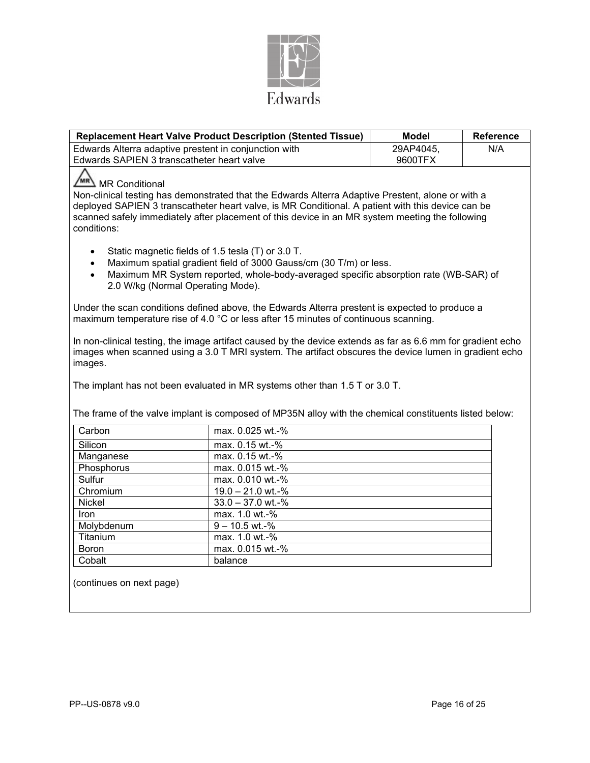

|                                                                                                                                                                                                                                                                                                                                            | <b>Replacement Heart Valve Product Description (Stented Tissue)</b>                                                                                                                   | <b>Model</b> | <b>Reference</b> |  |  |
|--------------------------------------------------------------------------------------------------------------------------------------------------------------------------------------------------------------------------------------------------------------------------------------------------------------------------------------------|---------------------------------------------------------------------------------------------------------------------------------------------------------------------------------------|--------------|------------------|--|--|
| Edwards Alterra adaptive prestent in conjunction with                                                                                                                                                                                                                                                                                      |                                                                                                                                                                                       | 29AP4045.    | N/A              |  |  |
| Edwards SAPIEN 3 transcatheter heart valve                                                                                                                                                                                                                                                                                                 |                                                                                                                                                                                       | 9600TFX      |                  |  |  |
| MR Conditional<br>Non-clinical testing has demonstrated that the Edwards Alterra Adaptive Prestent, alone or with a<br>deployed SAPIEN 3 transcatheter heart valve, is MR Conditional. A patient with this device can be<br>scanned safely immediately after placement of this device in an MR system meeting the following<br>conditions: |                                                                                                                                                                                       |              |                  |  |  |
| Static magnetic fields of 1.5 tesla (T) or 3.0 T.<br>Maximum spatial gradient field of 3000 Gauss/cm (30 T/m) or less.<br>Maximum MR System reported, whole-body-averaged specific absorption rate (WB-SAR) of<br>$\bullet$<br>2.0 W/kg (Normal Operating Mode).                                                                           |                                                                                                                                                                                       |              |                  |  |  |
|                                                                                                                                                                                                                                                                                                                                            | Under the scan conditions defined above, the Edwards Alterra prestent is expected to produce a<br>maximum temperature rise of 4.0 °C or less after 15 minutes of continuous scanning. |              |                  |  |  |
| In non-clinical testing, the image artifact caused by the device extends as far as 6.6 mm for gradient echo<br>images when scanned using a 3.0 T MRI system. The artifact obscures the device lumen in gradient echo<br>images.<br>The implant has not been evaluated in MR systems other than 1.5 T or 3.0 T.                             |                                                                                                                                                                                       |              |                  |  |  |
|                                                                                                                                                                                                                                                                                                                                            | The frame of the valve implant is composed of MP35N alloy with the chemical constituents listed below:                                                                                |              |                  |  |  |
| Carbon                                                                                                                                                                                                                                                                                                                                     | max. 0.025 wt.-%                                                                                                                                                                      |              |                  |  |  |
| Silicon                                                                                                                                                                                                                                                                                                                                    | max. 0.15 wt.-%                                                                                                                                                                       |              |                  |  |  |
| Manganese                                                                                                                                                                                                                                                                                                                                  | max. 0.15 wt.-%                                                                                                                                                                       |              |                  |  |  |
| Phosphorus                                                                                                                                                                                                                                                                                                                                 | max. 0.015 wt.-%                                                                                                                                                                      |              |                  |  |  |
| Sulfur                                                                                                                                                                                                                                                                                                                                     | max. 0.010 wt.-%                                                                                                                                                                      |              |                  |  |  |
| Chromium                                                                                                                                                                                                                                                                                                                                   | 19.0 - 21.0 wt.-%                                                                                                                                                                     |              |                  |  |  |
| <b>Nickel</b>                                                                                                                                                                                                                                                                                                                              | $33.0 - 37.0$ wt.-%                                                                                                                                                                   |              |                  |  |  |
| Iron                                                                                                                                                                                                                                                                                                                                       | max. 1.0 wt.-%                                                                                                                                                                        |              |                  |  |  |
| Molybdenum                                                                                                                                                                                                                                                                                                                                 | $9 - 10.5$ wt.-%                                                                                                                                                                      |              |                  |  |  |
| Titanium                                                                                                                                                                                                                                                                                                                                   | max. 1.0 wt.-%                                                                                                                                                                        |              |                  |  |  |
| Boron<br>Cobalt                                                                                                                                                                                                                                                                                                                            | max. 0.015 wt.-%                                                                                                                                                                      |              |                  |  |  |
|                                                                                                                                                                                                                                                                                                                                            | balance                                                                                                                                                                               |              |                  |  |  |

(continues on next page)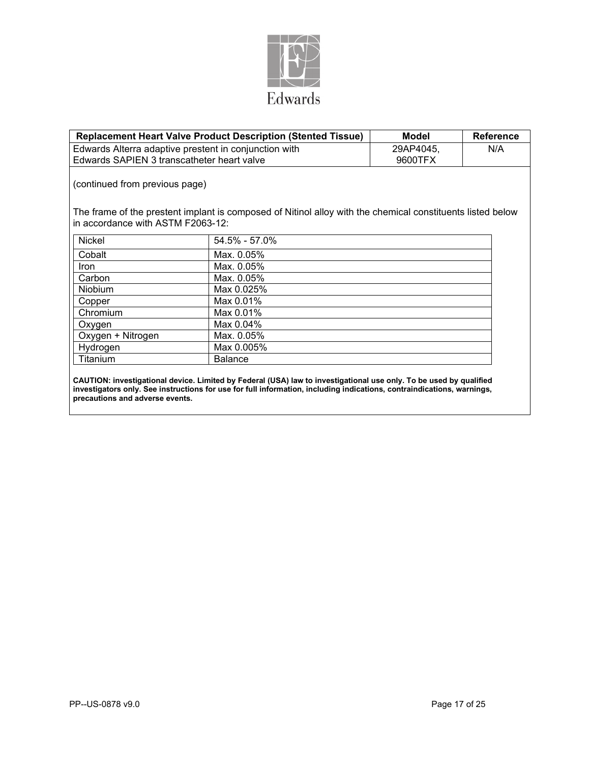

|                                                       | <b>Replacement Heart Valve Product Description (Stented Tissue)</b>                                        | <b>Model</b> | <b>Reference</b> |  |  |
|-------------------------------------------------------|------------------------------------------------------------------------------------------------------------|--------------|------------------|--|--|
| Edwards Alterra adaptive prestent in conjunction with | 29AP4045,                                                                                                  | N/A          |                  |  |  |
| Edwards SAPIEN 3 transcatheter heart valve            |                                                                                                            | 9600TFX      |                  |  |  |
| (continued from previous page)                        |                                                                                                            |              |                  |  |  |
| in accordance with ASTM F2063-12:                     | The frame of the prestent implant is composed of Nitinol alloy with the chemical constituents listed below |              |                  |  |  |
| <b>Nickel</b>                                         | 54.5% - 57.0%                                                                                              |              |                  |  |  |
| Cobalt                                                | Max. 0.05%                                                                                                 |              |                  |  |  |
| <b>Iron</b>                                           | Max. 0.05%                                                                                                 |              |                  |  |  |
| Carbon                                                | Max. 0.05%                                                                                                 |              |                  |  |  |
| <b>Niobium</b>                                        | Max 0.025%                                                                                                 |              |                  |  |  |
| Copper                                                | Max 0.01%                                                                                                  |              |                  |  |  |
| Chromium                                              | Max 0.01%                                                                                                  |              |                  |  |  |
| Oxygen                                                | Max 0.04%                                                                                                  |              |                  |  |  |
| Oxygen + Nitrogen                                     | Max. 0.05%                                                                                                 |              |                  |  |  |
| Hydrogen                                              | Max 0.005%                                                                                                 |              |                  |  |  |
| Titanium                                              | <b>Balance</b>                                                                                             |              |                  |  |  |
|                                                       |                                                                                                            |              |                  |  |  |

**CAUTION: investigational device. Limited by Federal (USA) law to investigational use only. To be used by qualified investigators only. See instructions for use for full information, including indications, contraindications, warnings, precautions and adverse events.**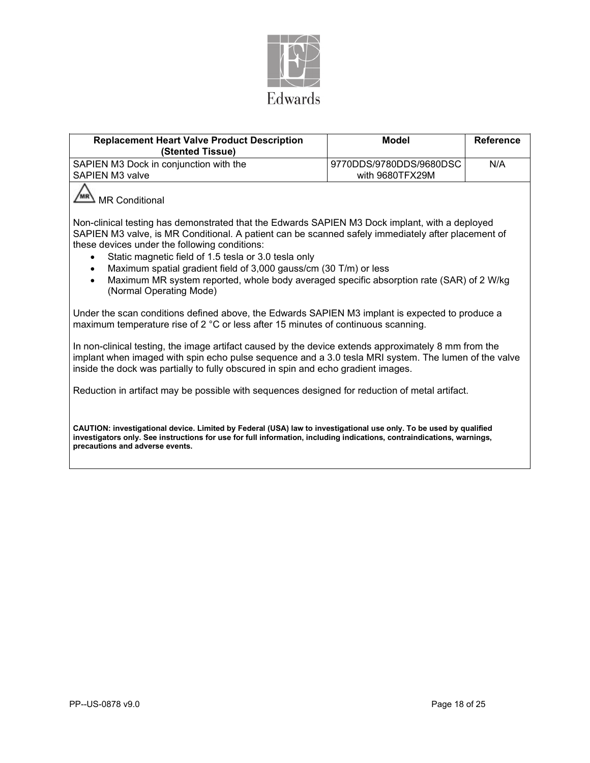

| <b>Replacement Heart Valve Product Description</b><br>(Stented Tissue)                                                                                                                                                                                                                                                                                                                                                                                                                                                              | <b>Model</b>                                                         | <b>Reference</b> |  |  |  |  |
|-------------------------------------------------------------------------------------------------------------------------------------------------------------------------------------------------------------------------------------------------------------------------------------------------------------------------------------------------------------------------------------------------------------------------------------------------------------------------------------------------------------------------------------|----------------------------------------------------------------------|------------------|--|--|--|--|
| SAPIEN M3 Dock in conjunction with the                                                                                                                                                                                                                                                                                                                                                                                                                                                                                              | 9770DDS/9780DDS/9680DSC<br><b>SAPIEN M3 valve</b><br>with 9680TFX29M |                  |  |  |  |  |
| <b>MR Conditional</b>                                                                                                                                                                                                                                                                                                                                                                                                                                                                                                               |                                                                      |                  |  |  |  |  |
| Non-clinical testing has demonstrated that the Edwards SAPIEN M3 Dock implant, with a deployed<br>SAPIEN M3 valve, is MR Conditional. A patient can be scanned safely immediately after placement of<br>these devices under the following conditions:<br>Static magnetic field of 1.5 tesla or 3.0 tesla only<br>Maximum spatial gradient field of 3,000 gauss/cm (30 T/m) or less<br>$\bullet$<br>Maximum MR system reported, whole body averaged specific absorption rate (SAR) of 2 W/kg<br>$\bullet$<br>(Normal Operating Mode) |                                                                      |                  |  |  |  |  |
| Under the scan conditions defined above, the Edwards SAPIEN M3 implant is expected to produce a<br>maximum temperature rise of 2 °C or less after 15 minutes of continuous scanning.                                                                                                                                                                                                                                                                                                                                                |                                                                      |                  |  |  |  |  |
| In non-clinical testing, the image artifact caused by the device extends approximately 8 mm from the<br>implant when imaged with spin echo pulse sequence and a 3.0 tesla MRI system. The lumen of the valve<br>inside the dock was partially to fully obscured in spin and echo gradient images.                                                                                                                                                                                                                                   |                                                                      |                  |  |  |  |  |
| Reduction in artifact may be possible with sequences designed for reduction of metal artifact.                                                                                                                                                                                                                                                                                                                                                                                                                                      |                                                                      |                  |  |  |  |  |
| CAUTION: investigational device. Limited by Federal (USA) law to investigational use only. To be used by qualified<br>investigators only. See instructions for use for full information, including indications, contraindications, warnings,<br>precautions and adverse events.                                                                                                                                                                                                                                                     |                                                                      |                  |  |  |  |  |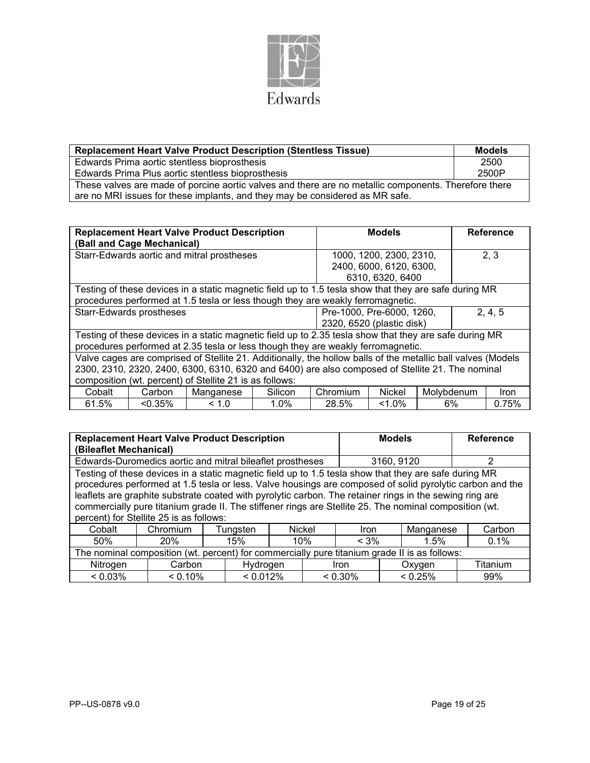

| <b>Replacement Heart Valve Product Description (Stentless Tissue)</b>                                | <b>Models</b> |
|------------------------------------------------------------------------------------------------------|---------------|
| Edwards Prima aortic stentless bioprosthesis                                                         | 2500          |
| Edwards Prima Plus aortic stentless bioprosthesis                                                    | 2500P         |
| These valves are made of porcine aortic valves and there are no metallic components. Therefore there |               |
| are no MRI issues for these implants, and they may be considered as MR safe.                         |               |

|                                                         |                            | <b>Replacement Heart Valve Product Description</b>                                                           |         |                                                        | <b>Models</b>             |    |  | <b>Reference</b> |
|---------------------------------------------------------|----------------------------|--------------------------------------------------------------------------------------------------------------|---------|--------------------------------------------------------|---------------------------|----|--|------------------|
|                                                         | (Ball and Cage Mechanical) |                                                                                                              |         |                                                        |                           |    |  |                  |
|                                                         |                            | Starr-Edwards aortic and mitral prostheses                                                                   |         |                                                        | 1000, 1200, 2300, 2310,   |    |  | 2, 3             |
|                                                         |                            |                                                                                                              |         |                                                        | 2400, 6000, 6120, 6300,   |    |  |                  |
|                                                         |                            |                                                                                                              |         |                                                        | 6310, 6320, 6400          |    |  |                  |
|                                                         |                            | Testing of these devices in a static magnetic field up to 1.5 tesla show that they are safe during MR        |         |                                                        |                           |    |  |                  |
|                                                         |                            | procedures performed at 1.5 tesla or less though they are weakly ferromagnetic.                              |         |                                                        |                           |    |  |                  |
|                                                         | Starr-Edwards prostheses   |                                                                                                              |         | 2, 4, 5<br>Pre-1000, Pre-6000, 1260,                   |                           |    |  |                  |
|                                                         |                            |                                                                                                              |         |                                                        | 2320, 6520 (plastic disk) |    |  |                  |
|                                                         |                            | Testing of these devices in a static magnetic field up to 2.35 tesla show that they are safe during MR       |         |                                                        |                           |    |  |                  |
|                                                         |                            | procedures performed at 2.35 tesla or less though they are weakly ferromagnetic.                             |         |                                                        |                           |    |  |                  |
|                                                         |                            | Valve cages are comprised of Stellite 21. Additionally, the hollow balls of the metallic ball valves (Models |         |                                                        |                           |    |  |                  |
|                                                         |                            | 2300, 2310, 2320, 2400, 6300, 6310, 6320 and 6400) are also composed of Stellite 21. The nominal             |         |                                                        |                           |    |  |                  |
| composition (wt. percent) of Stellite 21 is as follows: |                            |                                                                                                              |         |                                                        |                           |    |  |                  |
| Cobalt                                                  | Carbon                     | Manganese                                                                                                    | Silicon | <b>Nickel</b><br>Molybdenum<br>Chromium<br><i>Iron</i> |                           |    |  |                  |
| 61.5%                                                   | $< 0.35\%$                 | < 1.0                                                                                                        | 1.0%    | 28.5%                                                  | $1.0\%$                   | 6% |  | 0.75%            |

|                                                                                                                                                                                                                                                                                                                                                                          | <b>Replacement Heart Valve Product Description</b>                                                    |  |          | <b>Models</b> |        | <b>Reference</b> |            |            |        |  |
|--------------------------------------------------------------------------------------------------------------------------------------------------------------------------------------------------------------------------------------------------------------------------------------------------------------------------------------------------------------------------|-------------------------------------------------------------------------------------------------------|--|----------|---------------|--------|------------------|------------|------------|--------|--|
| (Bileaflet Mechanical)                                                                                                                                                                                                                                                                                                                                                   |                                                                                                       |  |          |               |        |                  |            |            |        |  |
|                                                                                                                                                                                                                                                                                                                                                                          | Edwards-Duromedics aortic and mitral bileaflet prostheses                                             |  |          |               |        |                  | 3160, 9120 |            | 2      |  |
|                                                                                                                                                                                                                                                                                                                                                                          | Testing of these devices in a static magnetic field up to 1.5 tesla show that they are safe during MR |  |          |               |        |                  |            |            |        |  |
| procedures performed at 1.5 tesla or less. Valve housings are composed of solid pyrolytic carbon and the<br>leaflets are graphite substrate coated with pyrolytic carbon. The retainer rings in the sewing ring are<br>commercially pure titanium grade II. The stiffener rings are Stellite 25. The nominal composition (wt.<br>percent) for Stellite 25 is as follows: |                                                                                                       |  |          |               |        |                  |            |            |        |  |
| Cobalt                                                                                                                                                                                                                                                                                                                                                                   | Chromium                                                                                              |  | Tungsten |               | Nickel | Iron             |            | Manganese  | Carbon |  |
| 50%                                                                                                                                                                                                                                                                                                                                                                      | 20%                                                                                                   |  | 15%      |               | 10%    | $< 3\%$          |            | 1.5%       | 0.1%   |  |
| The nominal composition (wt. percent) for commercially pure titanium grade II is as follows:                                                                                                                                                                                                                                                                             |                                                                                                       |  |          |               |        |                  |            |            |        |  |
| Nitrogen<br>Carbon<br>Hydrogen<br>Oxygen<br>Iron                                                                                                                                                                                                                                                                                                                         |                                                                                                       |  |          |               |        |                  |            | Titanium   |        |  |
| $< 0.03\%$                                                                                                                                                                                                                                                                                                                                                               | $< 0.10\%$                                                                                            |  | < 0.012% |               |        | $< 0.30\%$       |            | $< 0.25\%$ | 99%    |  |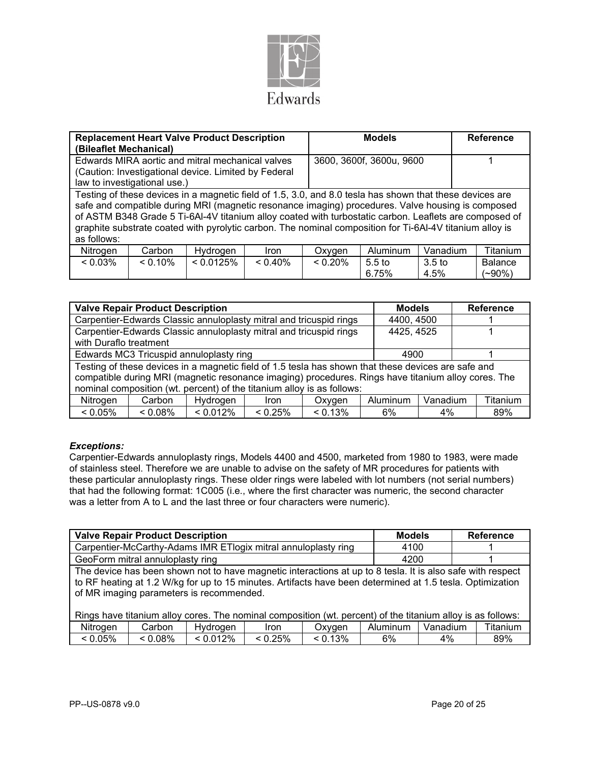

| (Bileaflet Mechanical) |                                                                          | <b>Replacement Heart Valve Product Description</b>                                                       |  |                                                                                                                                                                                                                                                                                                                                                                                                                                     | <b>Models</b>            |  | <b>Reference</b>            |
|------------------------|--------------------------------------------------------------------------|----------------------------------------------------------------------------------------------------------|--|-------------------------------------------------------------------------------------------------------------------------------------------------------------------------------------------------------------------------------------------------------------------------------------------------------------------------------------------------------------------------------------------------------------------------------------|--------------------------|--|-----------------------------|
|                        |                                                                          | Edwards MIRA aortic and mitral mechanical valves<br>(Caution: Investigational device. Limited by Federal |  |                                                                                                                                                                                                                                                                                                                                                                                                                                     | 3600, 3600f, 3600u, 9600 |  |                             |
|                        | law to investigational use.)                                             |                                                                                                          |  |                                                                                                                                                                                                                                                                                                                                                                                                                                     |                          |  |                             |
| as follows:            |                                                                          |                                                                                                          |  | Testing of these devices in a magnetic field of 1.5, 3.0, and 8.0 tesla has shown that these devices are<br>safe and compatible during MRI (magnetic resonance imaging) procedures. Valve housing is composed<br>of ASTM B348 Grade 5 Ti-6Al-4V titanium alloy coated with turbostatic carbon. Leaflets are composed of<br>graphite substrate coated with pyrolytic carbon. The nominal composition for Ti-6Al-4V titanium alloy is |                          |  |                             |
| Nitrogen               | <b>Aluminum</b><br>Vanadium<br>Hydrogen<br>Carbon<br>Oxygen<br>Iron      |                                                                                                          |  |                                                                                                                                                                                                                                                                                                                                                                                                                                     |                          |  | Titanium                    |
| $< 0.03\%$             | < 0.0125%<br>$< 0.20\%$<br>$< 0.10\%$<br>$< 0.40\%$<br>$5.5$ to<br>6.75% |                                                                                                          |  |                                                                                                                                                                                                                                                                                                                                                                                                                                     |                          |  | <b>Balance</b><br>$(-90\%)$ |

|                                                                                                                                                                                                                                                                                      | <b>Valve Repair Product Description</b>                            | <b>Models</b>                           |            | <b>Reference</b> |      |            |          |
|--------------------------------------------------------------------------------------------------------------------------------------------------------------------------------------------------------------------------------------------------------------------------------------|--------------------------------------------------------------------|-----------------------------------------|------------|------------------|------|------------|----------|
|                                                                                                                                                                                                                                                                                      | Carpentier-Edwards Classic annuloplasty mitral and tricuspid rings | 4400, 4500                              |            |                  |      |            |          |
| Carpentier-Edwards Classic annuloplasty mitral and tricuspid rings<br>with Duraflo treatment                                                                                                                                                                                         |                                                                    |                                         |            |                  |      | 4425, 4525 |          |
|                                                                                                                                                                                                                                                                                      |                                                                    | Edwards MC3 Tricuspid annuloplasty ring |            |                  | 4900 |            |          |
| Testing of these devices in a magnetic field of 1.5 tesla has shown that these devices are safe and<br>compatible during MRI (magnetic resonance imaging) procedures. Rings have titanium alloy cores. The<br>nominal composition (wt. percent) of the titanium alloy is as follows: |                                                                    |                                         |            |                  |      |            |          |
| Aluminum<br>Nitrogen<br>Hydrogen<br>Carbon<br>Oxygen<br><b>Iron</b>                                                                                                                                                                                                                  |                                                                    |                                         |            |                  |      | Vanadium   | Titanium |
| $< 0.05\%$                                                                                                                                                                                                                                                                           | $< 0.08\%$                                                         | $< 0.012\%$                             | $< 0.25\%$ | $< 0.13\%$       | 6%   | $4\%$      | 89%      |

### *Exceptions:*

Carpentier-Edwards annuloplasty rings, Models 4400 and 4500, marketed from 1980 to 1983, were made of stainless steel. Therefore we are unable to advise on the safety of MR procedures for patients with these particular annuloplasty rings. These older rings were labeled with lot numbers (not serial numbers) that had the following format: 1C005 (i.e., where the first character was numeric, the second character was a letter from A to L and the last three or four characters were numeric).

| <b>Valve Repair Product Description</b>                                                                                                                                                                                                                             |  | <b>Models</b> |  | <b>Reference</b> |  |      |          |
|---------------------------------------------------------------------------------------------------------------------------------------------------------------------------------------------------------------------------------------------------------------------|--|---------------|--|------------------|--|------|----------|
| Carpentier-McCarthy-Adams IMR ETIogix mitral annuloplasty ring                                                                                                                                                                                                      |  |               |  |                  |  | 4100 |          |
| GeoForm mitral annuloplasty ring                                                                                                                                                                                                                                    |  |               |  |                  |  | 4200 |          |
| The device has been shown not to have magnetic interactions at up to 8 tesla. It is also safe with respect<br>to RF heating at 1.2 W/kg for up to 15 minutes. Artifacts have been determined at 1.5 tesla. Optimization<br>of MR imaging parameters is recommended. |  |               |  |                  |  |      |          |
| Rings have titanium alloy cores. The nominal composition (wt. percent) of the titanium alloy is as follows:<br>Aluminum   Vanadium<br>Hydrogen<br>Nitrogan<br>Carhon<br>Ovvoon<br>lron.                                                                             |  |               |  |                  |  |      | Titonium |

| <br>Nitrogen | じarbon | Hvdroaen             | Iron        | Jxvaen | Aluminum | Vanadium | Titanium |
|--------------|--------|----------------------|-------------|--------|----------|----------|----------|
| 0.05%        | 0.08%  | $'2\%$<br>$^{\circ}$ | 25%<br>∪…∠∪ | 13%    | 6%       | 4%       | 89%      |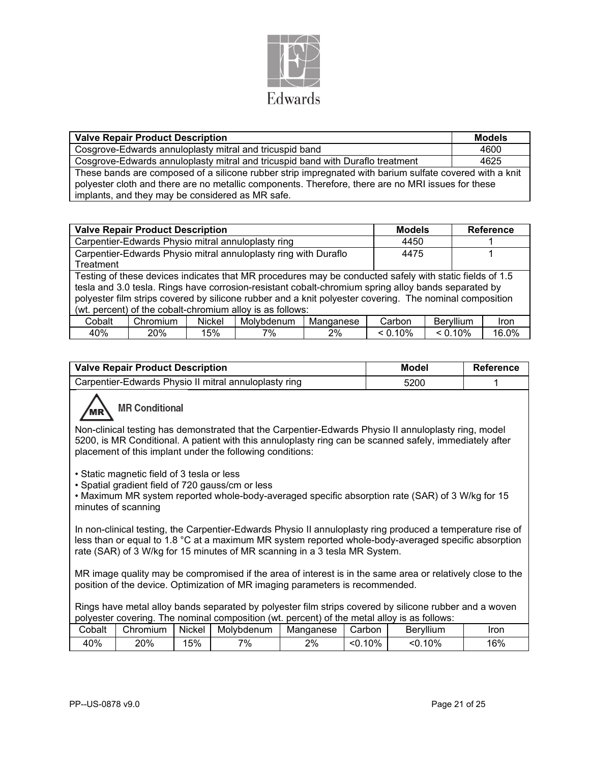

| <b>Valve Repair Product Description</b>                                                                                                                                                                                                                           | <b>Models</b> |
|-------------------------------------------------------------------------------------------------------------------------------------------------------------------------------------------------------------------------------------------------------------------|---------------|
| Cosgrove-Edwards annuloplasty mitral and tricuspid band                                                                                                                                                                                                           | 4600          |
| Cosgrove-Edwards annuloplasty mitral and tricuspid band with Duraflo treatment                                                                                                                                                                                    | 4625          |
| These bands are composed of a silicone rubber strip impregnated with barium sulfate covered with a knit<br>polyester cloth and there are no metallic components. Therefore, there are no MRI issues for these<br>implants, and they may be considered as MR safe. |               |

|                                                    | <b>Valve Repair Product Description</b> | <b>Models</b> |                                                                                                         | <b>Reference</b> |            |            |       |
|----------------------------------------------------|-----------------------------------------|---------------|---------------------------------------------------------------------------------------------------------|------------------|------------|------------|-------|
| Carpentier-Edwards Physio mitral annuloplasty ring |                                         |               |                                                                                                         |                  |            |            |       |
|                                                    |                                         |               | Carpentier-Edwards Physio mitral annuloplasty ring with Duraflo                                         |                  | 4475       |            |       |
| Treatment                                          |                                         |               |                                                                                                         |                  |            |            |       |
|                                                    |                                         |               | Testing of these devices indicates that MR procedures may be conducted safely with static fields of 1.5 |                  |            |            |       |
|                                                    |                                         |               | tesla and 3.0 tesla. Rings have corrosion-resistant cobalt-chromium spring alloy bands separated by     |                  |            |            |       |
|                                                    |                                         |               | polyester film strips covered by silicone rubber and a knit polyester covering. The nominal composition |                  |            |            |       |
|                                                    |                                         |               | (wt. percent) of the cobalt-chromium alloy is as follows:                                               |                  |            |            |       |
| Cobalt                                             | Carbon                                  | Beryllium     | <b>Iron</b>                                                                                             |                  |            |            |       |
| 40%                                                | 20%                                     | 15%           | 7%                                                                                                      | 2%               | $< 0.10\%$ | $< 0.10\%$ | 16.0% |

| <b>Valve Repair Product Description</b>               | Model | Reference |
|-------------------------------------------------------|-------|-----------|
| Carpentier-Edwards Physio II mitral annuloplasty ring | 5200  |           |

# **MR Conditional**

Non-clinical testing has demonstrated that the Carpentier-Edwards Physio II annuloplasty ring, model 5200, is MR Conditional. A patient with this annuloplasty ring can be scanned safely, immediately after placement of this implant under the following conditions:

• Static magnetic field of 3 tesla or less

• Spatial gradient field of 720 gauss/cm or less

• Maximum MR system reported whole-body-averaged specific absorption rate (SAR) of 3 W/kg for 15 minutes of scanning

In non-clinical testing, the Carpentier-Edwards Physio II annuloplasty ring produced a temperature rise of less than or equal to 1.8 °C at a maximum MR system reported whole-body-averaged specific absorption rate (SAR) of 3 W/kg for 15 minutes of MR scanning in a 3 tesla MR System.

MR image quality may be compromised if the area of interest is in the same area or relatively close to the position of the device. Optimization of MR imaging parameters is recommended.

Rings have metal alloy bands separated by polyester film strips covered by silicone rubber and a woven polyester covering. The nominal composition (wt. percent) of the metal alloy is as follows:

| Cobalt | Chromium | Nickel | Molvbdenum | Manganese | .arbonث     | Beryllium  | Iron |
|--------|----------|--------|------------|-----------|-------------|------------|------|
| 40%    | 20%      | 15%    | 7%         | 2%        | .10%<br><0. | 10%<br><0. | 16%  |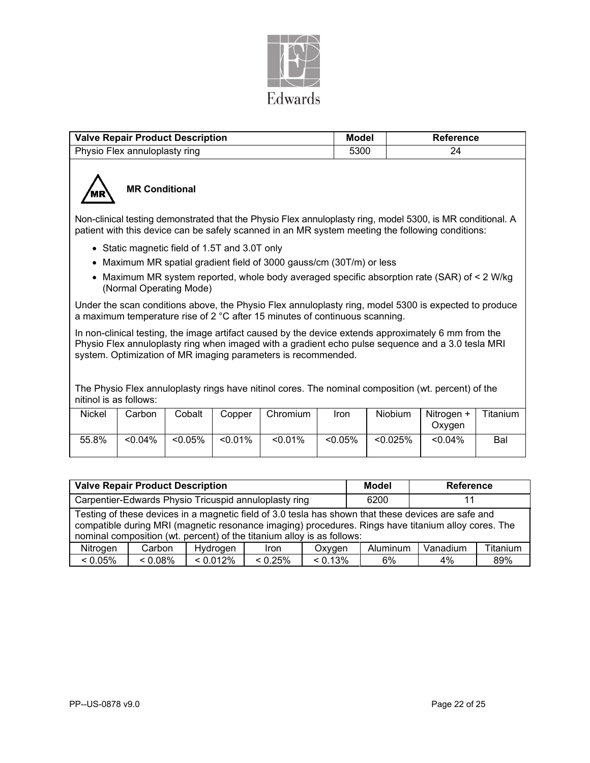

| <b>Valve Repair Product Description</b> | Model | Reference |
|-----------------------------------------|-------|-----------|
| Physio Flex annuloplasty ring           | 5300  |           |



## **MR Conditional**

Non-clinical testing demonstrated that the Physio Flex annuloplasty ring, model 5300, is MR conditional. A patient with this device can be safely scanned in an MR system meeting the following conditions:

- Static magnetic field of 1.5T and 3.0T only
- Maximum MR spatial gradient field of 3000 gauss/cm (30T/m) or less
- Maximum MR system reported, whole body averaged specific absorption rate (SAR) of < 2 W/kg (Normal Operating Mode)

Under the scan conditions above, the Physio Flex annuloplasty ring, model 5300 is expected to produce a maximum temperature rise of 2 °C after 15 minutes of continuous scanning.

In non-clinical testing, the image artifact caused by the device extends approximately 6 mm from the Physio Flex annuloplasty ring when imaged with a gradient echo pulse sequence and a 3.0 tesla MRI system. Optimization of MR imaging parameters is recommended.

The Physio Flex annuloplasty rings have nitinol cores. The nominal composition (wt. percent) of the nitinol is as follows:

| Nickel | Carbon     | Cobalt     | Copper     | Chromium | <b>Iron</b> | Niobium     | Nitrogen +<br>Oxvgen | Titanium |
|--------|------------|------------|------------|----------|-------------|-------------|----------------------|----------|
| 55.8%  | $< 0.04\%$ | $< 0.05\%$ | $< 0.01\%$ | < 0.01%  | $< 0.05\%$  | $< 0.025\%$ | $< 0.04\%$           | Bal      |

| <b>Valve Repair Product Description</b>                                                                                                                                                                                                                                              |            |          |             |            | Model    | <b>Reference</b> |          |  |
|--------------------------------------------------------------------------------------------------------------------------------------------------------------------------------------------------------------------------------------------------------------------------------------|------------|----------|-------------|------------|----------|------------------|----------|--|
| Carpentier-Edwards Physio Tricuspid annuloplasty ring                                                                                                                                                                                                                                |            |          |             |            | 6200     |                  |          |  |
| Testing of these devices in a magnetic field of 3.0 tesla has shown that these devices are safe and<br>compatible during MRI (magnetic resonance imaging) procedures. Rings have titanium alloy cores. The<br>nominal composition (wt. percent) of the titanium alloy is as follows: |            |          |             |            |          |                  |          |  |
| Nitrogen                                                                                                                                                                                                                                                                             | Carbon     | Hydrogen | <b>Iron</b> | Oxygen     | Aluminum | Vanadium         | Titanium |  |
| $< 0.05\%$                                                                                                                                                                                                                                                                           | $< 0.08\%$ | < 0.012% | $< 0.25\%$  | $< 0.13\%$ | 6%       | 4%               | 89%      |  |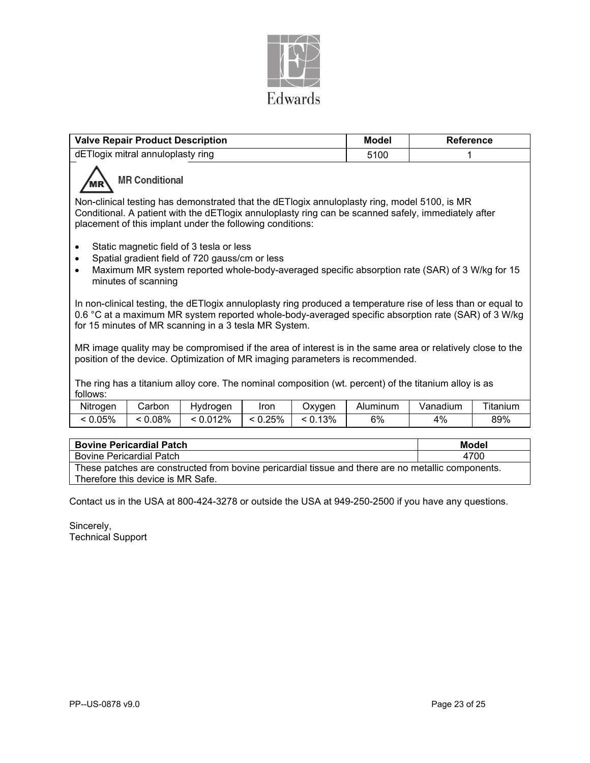

| <b>Valve Repair Product Description</b>                                                                                                                                                                                                                                      | <b>Model</b> | <b>Reference</b> |  |  |  |
|------------------------------------------------------------------------------------------------------------------------------------------------------------------------------------------------------------------------------------------------------------------------------|--------------|------------------|--|--|--|
| dETlogix mitral annuloplasty ring                                                                                                                                                                                                                                            | 5100         |                  |  |  |  |
| <b>MR Conditional</b>                                                                                                                                                                                                                                                        |              |                  |  |  |  |
| Non-clinical testing has demonstrated that the dETlogix annuloplasty ring, model 5100, is MR<br>Conditional. A patient with the dETlogix annuloplasty ring can be scanned safely, immediately after<br>placement of this implant under the following conditions:             |              |                  |  |  |  |
| Static magnetic field of 3 tesla or less<br>$\bullet$<br>Spatial gradient field of 720 gauss/cm or less<br>$\bullet$<br>Maximum MR system reported whole-body-averaged specific absorption rate (SAR) of 3 W/kg for 15<br>$\bullet$<br>minutes of scanning                   |              |                  |  |  |  |
| In non-clinical testing, the dETIogix annuloplasty ring produced a temperature rise of less than or equal to<br>0.6 °C at a maximum MR system reported whole-body-averaged specific absorption rate (SAR) of 3 W/kg<br>for 15 minutes of MR scanning in a 3 tesla MR System. |              |                  |  |  |  |
| MR image quality may be compromised if the area of interest is in the same area or relatively close to the<br>position of the device. Optimization of MR imaging parameters is recommended.                                                                                  |              |                  |  |  |  |
| The ring has a titanium alloy core. The nominal composition (wt. percent) of the titanium alloy is as<br>follows:<br><b>I</b> The Theory<br>$-1.1$<br>$\mathbf{v}$<br>$-1.5$<br>$\sim$ $\sim$<br>N. 114 .                                                                    |              |                  |  |  |  |

| Nitrogen | .carbon | Hvdroaen | Iron  | Oxvaen     | Aluminum | Vanadium | ---<br>⊺itanium |
|----------|---------|----------|-------|------------|----------|----------|-----------------|
| 0.05%    | 0.08%   | < 0.012% | 0.25% | 13%<br>ັບ. | 6%       | $1\%$    | 89%             |

| <b>Bovine Pericardial Patch</b>                                                                    | Model |
|----------------------------------------------------------------------------------------------------|-------|
| <b>Bovine Pericardial Patch</b>                                                                    | 4700  |
| These patches are constructed from bovine pericardial tissue and there are no metallic components. |       |
| Therefore this device is MR Safe.                                                                  |       |

Contact us in the USA at 800-424-3278 or outside the USA at 949-250-2500 if you have any questions.

Sincerely, Technical Support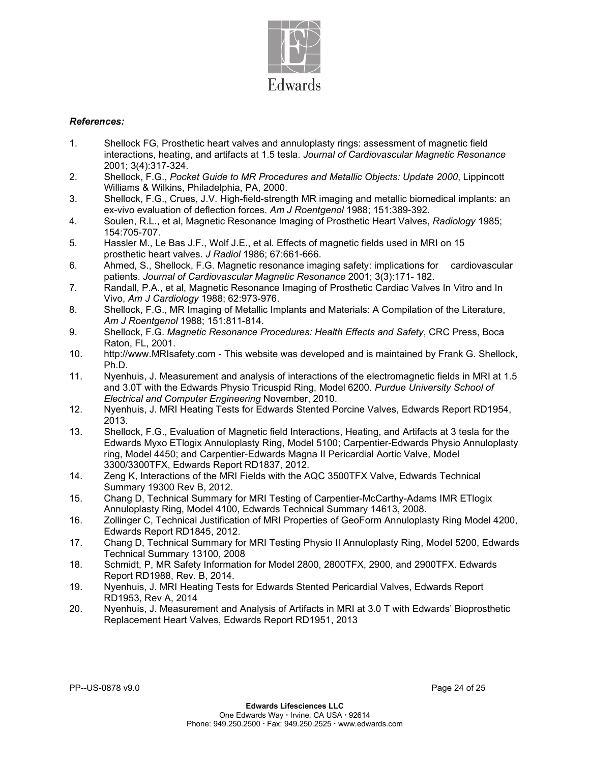

### *References:*

- 1. Shellock FG, Prosthetic heart valves and annuloplasty rings: assessment of magnetic field interactions, heating, and artifacts at 1.5 tesla. *Journal of Cardiovascular Magnetic Resonance*  2001; 3(4):317-324.
- 2. Shellock, F.G., *Pocket Guide to MR Procedures and Metallic Objects: Update 2000*, Lippincott Williams & Wilkins, Philadelphia, PA, 2000.
- 3. Shellock, F.G., Crues, J.V. High-field-strength MR imaging and metallic biomedical implants: an ex-vivo evaluation of deflection forces. *Am J Roentgenol* 1988; 151:389-392.
- 4. Soulen, R.L., et al, Magnetic Resonance Imaging of Prosthetic Heart Valves, *Radiology* 1985; 154:705-707.
- 5. Hassler M., Le Bas J.F., Wolf J.E., et al. Effects of magnetic fields used in MRI on 15 prosthetic heart valves. *J Radiol* 1986; 67:661-666.
- 6. Ahmed, S., Shellock, F.G. Magnetic resonance imaging safety: implications for cardiovascular patients. *Journal of Cardiovascular Magnetic Resonance* 2001; 3(3):171- 182.
- 7. Randall, P.A., et al, Magnetic Resonance Imaging of Prosthetic Cardiac Valves In Vitro and In Vivo, *Am J Cardiology* 1988; 62:973-976.
- 8. Shellock, F.G., MR Imaging of Metallic Implants and Materials: A Compilation of the Literature, *Am J Roentgenol* 1988; 151:811-814.
- 9. Shellock, F.G. *Magnetic Resonance Procedures: Health Effects and Safety*, CRC Press, Boca Raton, FL, 2001.
- 10. http://www.MRIsafety.com This website was developed and is maintained by Frank G. Shellock, Ph.D.
- 11. Nyenhuis, J. Measurement and analysis of interactions of the electromagnetic fields in MRI at 1.5 and 3.0T with the Edwards Physio Tricuspid Ring, Model 6200. *Purdue University School of Electrical and Computer Engineering* November, 2010.
- 12. Nyenhuis, J. MRI Heating Tests for Edwards Stented Porcine Valves, Edwards Report RD1954, 2013.
- 13. Shellock, F.G., Evaluation of Magnetic field Interactions, Heating, and Artifacts at 3 tesla for the Edwards Myxo ETlogix Annuloplasty Ring, Model 5100; Carpentier-Edwards Physio Annuloplasty ring, Model 4450; and Carpentier-Edwards Magna II Pericardial Aortic Valve, Model 3300/3300TFX, Edwards Report RD1837, 2012.
- 14. Zeng K, Interactions of the MRI Fields with the AQC 3500TFX Valve, Edwards Technical Summary 19300 Rev B, 2012.
- 15. Chang D, Technical Summary for MRI Testing of Carpentier-McCarthy-Adams IMR ETlogix Annuloplasty Ring, Model 4100, Edwards Technical Summary 14613, 2008.
- 16. Zollinger C, Technical Justification of MRI Properties of GeoForm Annuloplasty Ring Model 4200, Edwards Report RD1845, 2012.
- 17. Chang D, Technical Summary for MRI Testing Physio II Annuloplasty Ring, Model 5200, Edwards Technical Summary 13100, 2008
- 18. Schmidt, P, MR Safety Information for Model 2800, 2800TFX, 2900, and 2900TFX. Edwards Report RD1988, Rev. B, 2014.
- 19. Nyenhuis, J. MRI Heating Tests for Edwards Stented Pericardial Valves, Edwards Report RD1953, Rev A, 2014
- 20. Nyenhuis, J. Measurement and Analysis of Artifacts in MRI at 3.0 T with Edwards' Bioprosthetic Replacement Heart Valves, Edwards Report RD1951, 2013